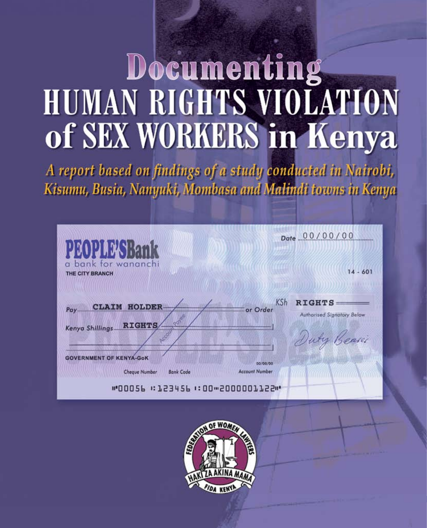# Documenting **HUMAN RIGHTS VIOLATION** of SEX WORKERS in Kenya

A report based on findings of a study conducted in Nairobi, Kisumu, Busia, Nanyuki, Mombasa and Malindi towns in Kenya

| PEOPLE SBank<br>bank for wananchi<br>a                                           | Date 00/00/00                                                                               |
|----------------------------------------------------------------------------------|---------------------------------------------------------------------------------------------|
| THE CITY BRANCH                                                                  | $14 - 601$                                                                                  |
| <b>CLAIM HOLDER</b><br>Pay.<br>Povee<br><b>RIGHTS</b><br>Kenya Shillings<br>ACCO | <b>KSh</b><br><b>RIGHTS</b><br>or Order<br><b>Authorised Signatory Below</b><br>Duty Beaser |
| <b>GOVERNMENT OF KENYA-GoK</b><br>Cheque Number<br><b>Bank Code</b>              | 00/00/00<br><b>Account Number</b>                                                           |

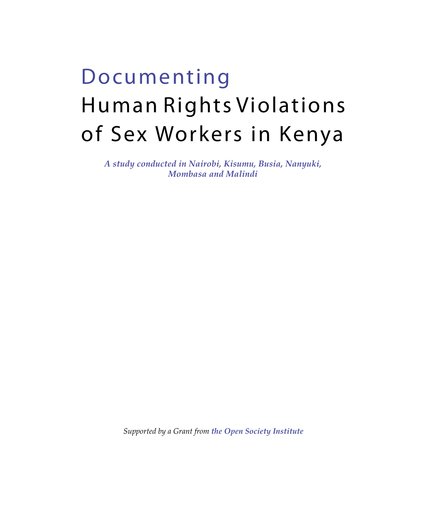# Documenting Human Rights Violations of Sex Workers in Kenya

*A study conducted in Nairobi, Kisumu, Busia, Nanyuki, Mombasa and Malindi* 

*Supported by a Grant from the Open Society Institute*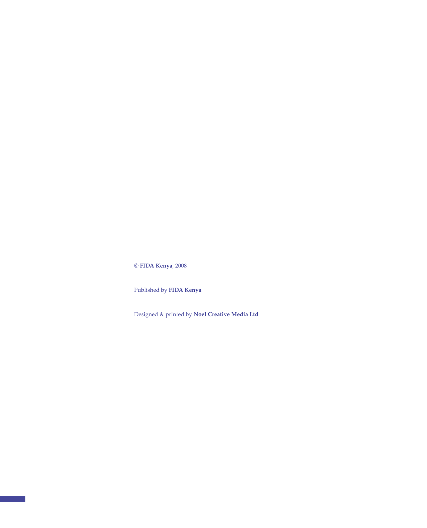© **FIDA Kenya**, 2008

Published by **FIDA Kenya**

Designed & printed by **Noel Creative Media Ltd**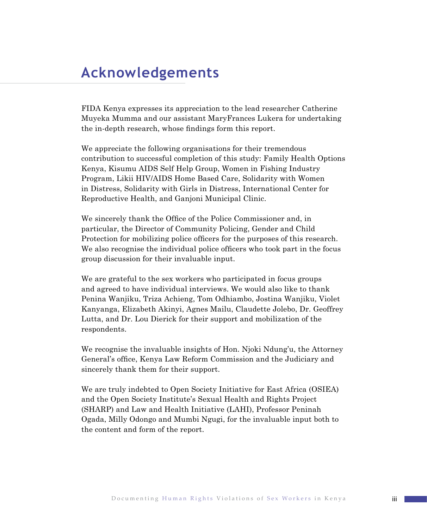# **Acknowledgements**

FIDA Kenya expresses its appreciation to the lead researcher Catherine Muyeka Mumma and our assistant MaryFrances Lukera for undertaking the in-depth research, whose findings form this report.

We appreciate the following organisations for their tremendous contribution to successful completion of this study: Family Health Options Kenya, Kisumu AIDS Self Help Group, Women in Fishing Industry Program, Likii HIV/AIDS Home Based Care, Solidarity with Women in Distress, Solidarity with Girls in Distress, International Center for Reproductive Health, and Ganjoni Municipal Clinic.

We sincerely thank the Office of the Police Commissioner and, in particular, the Director of Community Policing, Gender and Child Protection for mobilizing police officers for the purposes of this research. We also recognise the individual police officers who took part in the focus group discussion for their invaluable input.

We are grateful to the sex workers who participated in focus groups and agreed to have individual interviews. We would also like to thank Penina Wanjiku, Triza Achieng, Tom Odhiambo, Jostina Wanjiku, Violet Kanyanga, Elizabeth Akinyi, Agnes Mailu, Claudette Jolebo, Dr. Geoffrey Lutta, and Dr. Lou Dierick for their support and mobilization of the respondents.

We recognise the invaluable insights of Hon. Njoki Ndung'u, the Attorney General's office, Kenya Law Reform Commission and the Judiciary and sincerely thank them for their support.

We are truly indebted to Open Society Initiative for East Africa (OSIEA) and the Open Society Institute's Sexual Health and Rights Project (SHARP) and Law and Health Initiative (LAHI), Professor Peninah Ogada, Milly Odongo and Mumbi Ngugi, for the invaluable input both to the content and form of the report.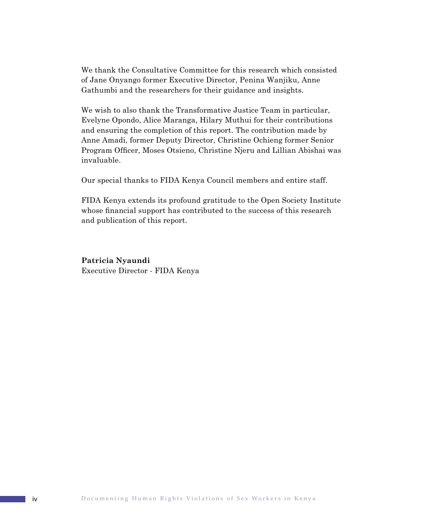We thank the Consultative Committee for this research which consisted of Jane Onyango former Executive Director, Penina Wanjiku, Anne Gathumbi and the researchers for their guidance and insights.

We wish to also thank the Transformative Justice Team in particular, Evelyne Opondo, Alice Maranga, Hilary Muthui for their contributions and ensuring the completion of this report. The contribution made by Anne Amadi, former Deputy Director, Christine Ochieng former Senior Program Officer, Moses Otsieno, Christine Njeru and Lillian Abishai was invaluable.

Our special thanks to FIDA Kenya Council members and entire staff.

FIDA Kenya extends its profound gratitude to the Open Society Institute whose financial support has contributed to the success of this research and publication of this report.

**Patricia Nyaundi** Executive Director - FIDA Kenya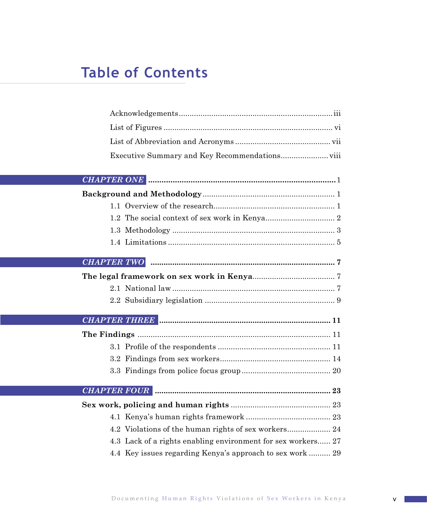# **Table of Contents**

| <b>CHAPTER TWO</b> |                                                              |
|--------------------|--------------------------------------------------------------|
|                    |                                                              |
|                    |                                                              |
|                    |                                                              |
|                    |                                                              |
|                    |                                                              |
|                    |                                                              |
|                    |                                                              |
|                    |                                                              |
|                    |                                                              |
|                    |                                                              |
|                    |                                                              |
|                    | 4.2 Violations of the human rights of sex workers 24         |
|                    | 4.3 Lack of a rights enabling environment for sex workers 27 |
|                    | 4.4 Key issues regarding Kenya's approach to sex work  29    |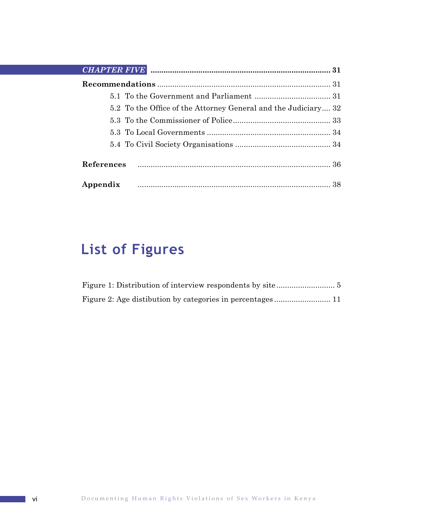| 5.2 To the Office of the Attorney General and the Judiciary 32 |
|----------------------------------------------------------------|
|                                                                |
|                                                                |
|                                                                |
|                                                                |
| Appendix                                                       |

# **List of Figures**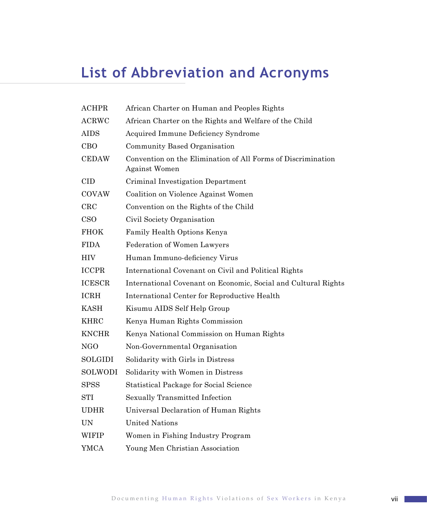# **List of Abbreviation and Acronyms**

| $\rm{ACHPR}$   | African Charter on Human and Peoples Rights                                          |
|----------------|--------------------------------------------------------------------------------------|
| <b>ACRWC</b>   | African Charter on the Rights and Welfare of the Child                               |
| <b>AIDS</b>    | Acquired Immune Deficiency Syndrome                                                  |
| <b>CBO</b>     | Community Based Organisation                                                         |
| <b>CEDAW</b>   | Convention on the Elimination of All Forms of Discrimination<br><b>Against Women</b> |
| <b>CID</b>     | Criminal Investigation Department                                                    |
| COVAW          | Coalition on Violence Against Women                                                  |
| $_{\rm CRC}$   | Convention on the Rights of the Child                                                |
| <b>CSO</b>     | Civil Society Organisation                                                           |
| <b>FHOK</b>    | Family Health Options Kenya                                                          |
| <b>FIDA</b>    | Federation of Women Lawyers                                                          |
| HIV            | Human Immuno-deficiency Virus                                                        |
| <b>ICCPR</b>   | International Covenant on Civil and Political Rights                                 |
| <b>ICESCR</b>  | International Covenant on Economic, Social and Cultural Rights                       |
| <b>ICRH</b>    | International Center for Reproductive Health                                         |
| KASH           | Kisumu AIDS Self Help Group                                                          |
| <b>KHRC</b>    | Kenya Human Rights Commission                                                        |
| <b>KNCHR</b>   | Kenya National Commission on Human Rights                                            |
| NGO            | Non-Governmental Organisation                                                        |
| <b>SOLGIDI</b> | Solidarity with Girls in Distress                                                    |
| <b>SOLWODI</b> | Solidarity with Women in Distress                                                    |
| <b>SPSS</b>    | Statistical Package for Social Science                                               |
| <b>STI</b>     | Sexually Transmitted Infection                                                       |
| <b>UDHR</b>    | Universal Declaration of Human Rights                                                |
| <b>UN</b>      | <b>United Nations</b>                                                                |
| WIFIP          | Women in Fishing Industry Program                                                    |
| YMCA           | Young Men Christian Association                                                      |
|                |                                                                                      |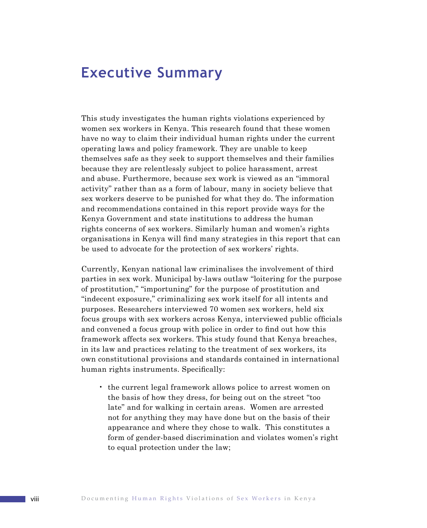# **Executive Summary**

This study investigates the human rights violations experienced by women sex workers in Kenya. This research found that these women have no way to claim their individual human rights under the current operating laws and policy framework. They are unable to keep themselves safe as they seek to support themselves and their families because they are relentlessly subject to police harassment, arrest and abuse. Furthermore, because sex work is viewed as an "immoral activity" rather than as a form of labour, many in society believe that sex workers deserve to be punished for what they do. The information and recommendations contained in this report provide ways for the Kenya Government and state institutions to address the human rights concerns of sex workers. Similarly human and women's rights organisations in Kenya will find many strategies in this report that can be used to advocate for the protection of sex workers' rights.

Currently, Kenyan national law criminalises the involvement of third parties in sex work. Municipal by-laws outlaw "loitering for the purpose of prostitution," "importuning" for the purpose of prostitution and "indecent exposure," criminalizing sex work itself for all intents and purposes. Researchers interviewed 70 women sex workers, held six focus groups with sex workers across Kenya, interviewed public officials and convened a focus group with police in order to find out how this framework affects sex workers. This study found that Kenya breaches, in its law and practices relating to the treatment of sex workers, its own constitutional provisions and standards contained in international human rights instruments. Specifically:

• the current legal framework allows police to arrest women on the basis of how they dress, for being out on the street "too late" and for walking in certain areas. Women are arrested not for anything they may have done but on the basis of their appearance and where they chose to walk. This constitutes a form of gender-based discrimination and violates women's right to equal protection under the law;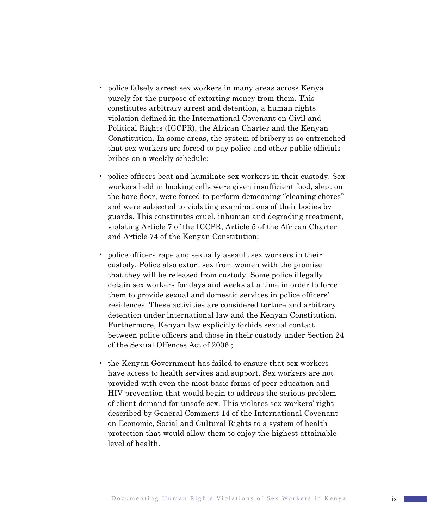- police falsely arrest sex workers in many areas across Kenya purely for the purpose of extorting money from them. This constitutes arbitrary arrest and detention, a human rights violation defined in the International Covenant on Civil and Political Rights (ICCPR), the African Charter and the Kenyan Constitution. In some areas, the system of bribery is so entrenched that sex workers are forced to pay police and other public officials bribes on a weekly schedule;
- police officers beat and humiliate sex workers in their custody. Sex workers held in booking cells were given insufficient food, slept on the bare floor, were forced to perform demeaning "cleaning chores" and were subjected to violating examinations of their bodies by guards. This constitutes cruel, inhuman and degrading treatment, violating Article 7 of the ICCPR, Article 5 of the African Charter and Article 74 of the Kenyan Constitution;
- police officers rape and sexually assault sex workers in their custody. Police also extort sex from women with the promise that they will be released from custody. Some police illegally detain sex workers for days and weeks at a time in order to force them to provide sexual and domestic services in police officers' residences. These activities are considered torture and arbitrary detention under international law and the Kenyan Constitution. Furthermore, Kenyan law explicitly forbids sexual contact between police officers and those in their custody under Section 24 of the Sexual Offences Act of 2006 ;
- the Kenyan Government has failed to ensure that sex workers have access to health services and support. Sex workers are not provided with even the most basic forms of peer education and HIV prevention that would begin to address the serious problem of client demand for unsafe sex. This violates sex workers' right described by General Comment 14 of the International Covenant on Economic, Social and Cultural Rights to a system of health protection that would allow them to enjoy the highest attainable level of health.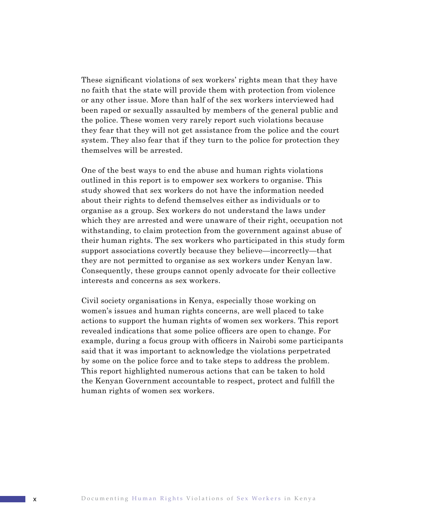These significant violations of sex workers' rights mean that they have no faith that the state will provide them with protection from violence or any other issue. More than half of the sex workers interviewed had been raped or sexually assaulted by members of the general public and the police. These women very rarely report such violations because they fear that they will not get assistance from the police and the court system. They also fear that if they turn to the police for protection they themselves will be arrested.

One of the best ways to end the abuse and human rights violations outlined in this report is to empower sex workers to organise. This study showed that sex workers do not have the information needed about their rights to defend themselves either as individuals or to organise as a group. Sex workers do not understand the laws under which they are arrested and were unaware of their right, occupation not withstanding, to claim protection from the government against abuse of their human rights. The sex workers who participated in this study form support associations covertly because they believe—incorrectly—that they are not permitted to organise as sex workers under Kenyan law. Consequently, these groups cannot openly advocate for their collective interests and concerns as sex workers.

Civil society organisations in Kenya, especially those working on women's issues and human rights concerns, are well placed to take actions to support the human rights of women sex workers. This report revealed indications that some police officers are open to change. For example, during a focus group with officers in Nairobi some participants said that it was important to acknowledge the violations perpetrated by some on the police force and to take steps to address the problem. This report highlighted numerous actions that can be taken to hold the Kenyan Government accountable to respect, protect and fulfill the human rights of women sex workers.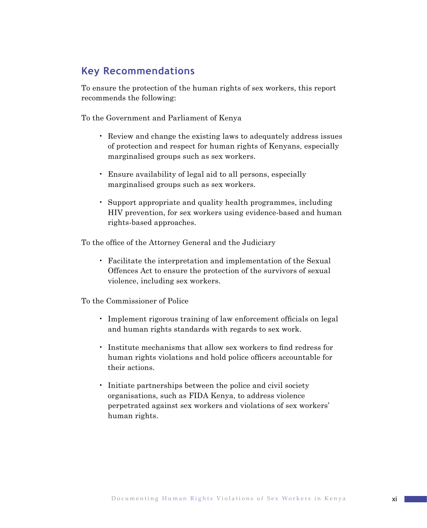### **Key Recommendations**

To ensure the protection of the human rights of sex workers, this report recommends the following:

To the Government and Parliament of Kenya

- Review and change the existing laws to adequately address issues of protection and respect for human rights of Kenyans, especially marginalised groups such as sex workers.
- Ensure availability of legal aid to all persons, especially marginalised groups such as sex workers.
- Support appropriate and quality health programmes, including HIV prevention, for sex workers using evidence-based and human rights-based approaches.

To the office of the Attorney General and the Judiciary

• Facilitate the interpretation and implementation of the Sexual Offences Act to ensure the protection of the survivors of sexual violence, including sex workers.

To the Commissioner of Police

- Implement rigorous training of law enforcement officials on legal and human rights standards with regards to sex work.
- Institute mechanisms that allow sex workers to find redress for human rights violations and hold police officers accountable for their actions.
- Initiate partnerships between the police and civil society organisations, such as FIDA Kenya, to address violence perpetrated against sex workers and violations of sex workers' human rights.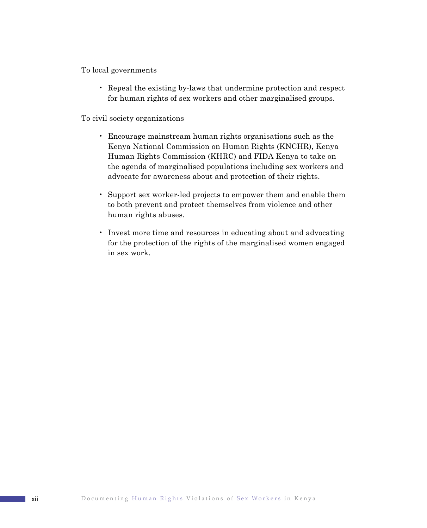To local governments

• Repeal the existing by-laws that undermine protection and respect for human rights of sex workers and other marginalised groups.

To civil society organizations

- Encourage mainstream human rights organisations such as the Kenya National Commission on Human Rights (KNCHR), Kenya Human Rights Commission (KHRC) and FIDA Kenya to take on the agenda of marginalised populations including sex workers and advocate for awareness about and protection of their rights.
- Support sex worker-led projects to empower them and enable them to both prevent and protect themselves from violence and other human rights abuses.
- Invest more time and resources in educating about and advocating for the protection of the rights of the marginalised women engaged in sex work.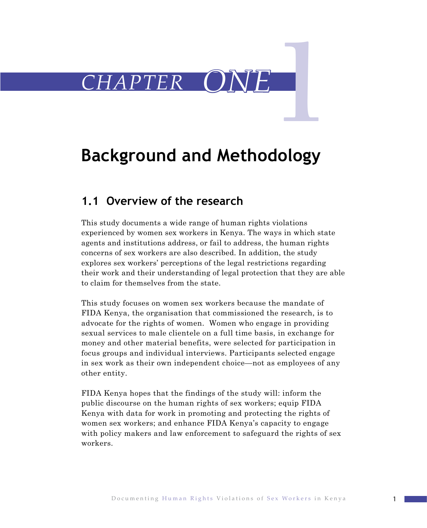

# **Background and Methodology**

# **1.1 Overview of the research**

This study documents a wide range of human rights violations experienced by women sex workers in Kenya. The ways in which state agents and institutions address, or fail to address, the human rights concerns of sex workers are also described. In addition, the study explores sex workers' perceptions of the legal restrictions regarding their work and their understanding of legal protection that they are able to claim for themselves from the state.

This study focuses on women sex workers because the mandate of FIDA Kenya, the organisation that commissioned the research, is to advocate for the rights of women. Women who engage in providing sexual services to male clientele on a full time basis, in exchange for money and other material benefits, were selected for participation in focus groups and individual interviews. Participants selected engage in sex work as their own independent choice—not as employees of any other entity.

FIDA Kenya hopes that the findings of the study will: inform the public discourse on the human rights of sex workers; equip FIDA Kenya with data for work in promoting and protecting the rights of women sex workers; and enhance FIDA Kenya's capacity to engage with policy makers and law enforcement to safeguard the rights of sex workers.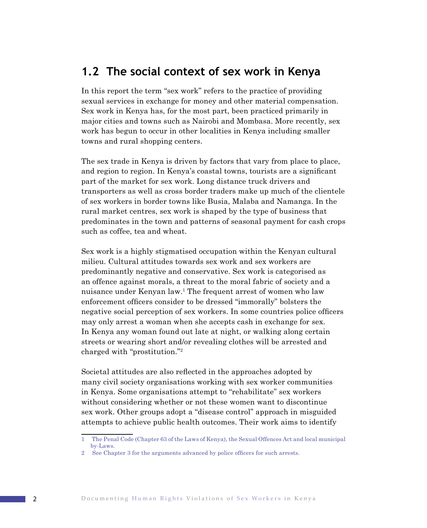### **1.2 The social context of sex work in Kenya**

In this report the term "sex work" refers to the practice of providing sexual services in exchange for money and other material compensation. Sex work in Kenya has, for the most part, been practiced primarily in major cities and towns such as Nairobi and Mombasa. More recently, sex work has begun to occur in other localities in Kenya including smaller towns and rural shopping centers.

The sex trade in Kenya is driven by factors that vary from place to place, and region to region. In Kenya's coastal towns, tourists are a significant part of the market for sex work. Long distance truck drivers and transporters as well as cross border traders make up much of the clientele of sex workers in border towns like Busia, Malaba and Namanga. In the rural market centres, sex work is shaped by the type of business that predominates in the town and patterns of seasonal payment for cash crops such as coffee, tea and wheat.

Sex work is a highly stigmatised occupation within the Kenyan cultural milieu. Cultural attitudes towards sex work and sex workers are predominantly negative and conservative. Sex work is categorised as an offence against morals, a threat to the moral fabric of society and a nuisance under Kenyan law.<sup>1</sup> The frequent arrest of women who law enforcement officers consider to be dressed "immorally" bolsters the negative social perception of sex workers. In some countries police officers may only arrest a woman when she accepts cash in exchange for sex. In Kenya any woman found out late at night, or walking along certain streets or wearing short and/or revealing clothes will be arrested and charged with "prostitution."

Societal attitudes are also reflected in the approaches adopted by many civil society organisations working with sex worker communities in Kenya. Some organisations attempt to "rehabilitate" sex workers without considering whether or not these women want to discontinue sex work. Other groups adopt a "disease control" approach in misguided attempts to achieve public health outcomes. Their work aims to identify

The Penal Code (Chapter 63 of the Laws of Kenya), the Sexual Offences Act and local municipal by-Laws.

See Chapter 3 for the arguments advanced by police officers for such arrests.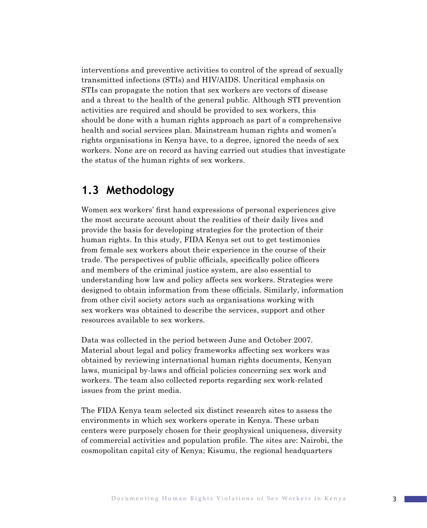interventions and preventive activities to control of the spread of sexually transmitted infections (STIs) and HIV/AIDS. Uncritical emphasis on STIs can propagate the notion that sex workers are vectors of disease and a threat to the health of the general public. Although STI prevention activities are required and should be provided to sex workers, this should be done with a human rights approach as part of a comprehensive health and social services plan. Mainstream human rights and women's rights organisations in Kenya have, to a degree, ignored the needs of sex workers. None are on record as having carried out studies that investigate the status of the human rights of sex workers.

# **1.3 Methodology**

Women sex workers' first hand expressions of personal experiences give the most accurate account about the realities of their daily lives and provide the basis for developing strategies for the protection of their human rights. In this study, FIDA Kenya set out to get testimonies from female sex workers about their experience in the course of their trade. The perspectives of public officials, specifically police officers and members of the criminal justice system, are also essential to understanding how law and policy affects sex workers. Strategies were designed to obtain information from these officials. Similarly, information from other civil society actors such as organisations working with sex workers was obtained to describe the services, support and other resources available to sex workers.

Data was collected in the period between June and October 2007. Material about legal and policy frameworks affecting sex workers was obtained by reviewing international human rights documents, Kenyan laws, municipal by-laws and official policies concerning sex work and workers. The team also collected reports regarding sex work-related issues from the print media.

The FIDA Kenya team selected six distinct research sites to assess the environments in which sex workers operate in Kenya. These urban centers were purposely chosen for their geophysical uniqueness, diversity of commercial activities and population profile. The sites are: Nairobi, the cosmopolitan capital city of Kenya; Kisumu, the regional headquarters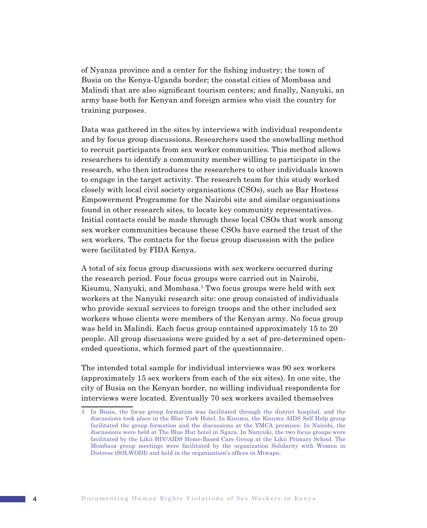of Nyanza province and a center for the fishing industry; the town of Busia on the Kenya-Uganda border; the coastal cities of Mombasa and Malindi that are also significant tourism centers; and finally, Nanyuki, an army base both for Kenyan and foreign armies who visit the country for training purposes.

Data was gathered in the sites by interviews with individual respondents and by focus group discussions. Researchers used the snowballing method to recruit participants from sex worker communities*.* This method allows researchers to identify a community member willing to participate in the research, who then introduces the researchers to other individuals known to engage in the target activity. The research team for this study worked closely with local civil society organisations (CSOs), such as Bar Hostess Empowerment Programme for the Nairobi site and similar organisations found in other research sites, to locate key community representatives. Initial contacts could be made through these local CSOs that work among sex worker communities because these CSOs have earned the trust of the sex workers. The contacts for the focus group discussion with the police were facilitated by FIDA Kenya.

A total of six focus group discussions with sex workers occurred during the research period. Four focus groups were carried out in Nairobi, Kisumu, Nanyuki, and Mombasa.<sup>3</sup> Two focus groups were held with sex workers at the Nanyuki research site: one group consisted of individuals who provide sexual services to foreign troops and the other included sex workers whose clients were members of the Kenyan army. No focus group was held in Malindi. Each focus group contained approximately 15 to 20 people. All group discussions were guided by a set of pre-determined openended questions, which formed part of the questionnaire.

The intended total sample for individual interviews was 90 sex workers (approximately 15 sex workers from each of the six sites). In one site, the city of Busia on the Kenyan border, no willing individual respondents for interviews were located. Eventually 70 sex workers availed themselves

In Busia, the focus group formation was facilitated through the district hospital, and the discussions took place in the Blue York Hotel. In Kisumu, the Kisumu AIDS Self Help group facilitated the group formation and the discussions at the YMCA premises. In Nairobi, the discussions were held at The Blue Hut hotel in Ngara. In Nanyuki, the two focus groups were facilitated by the Likii HIV/AIDS Home-Based Care Group at the Likii Primary School. The Mombasa group meetings were facilitated by the organization Solidarity with Women in Distress (SOLWODI) and held in the organization's offices in Mtwapa.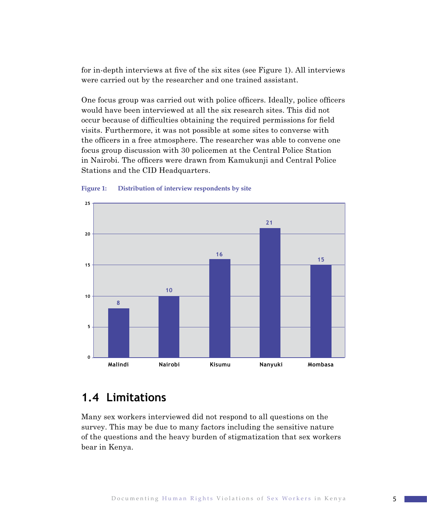for in-depth interviews at five of the six sites (see Figure 1). All interviews were carried out by the researcher and one trained assistant.

One focus group was carried out with police officers. Ideally, police officers would have been interviewed at all the six research sites. This did not occur because of difficulties obtaining the required permissions for field visits. Furthermore, it was not possible at some sites to converse with the officers in a free atmosphere. The researcher was able to convene one focus group discussion with 30 policemen at the Central Police Station in Nairobi. The officers were drawn from Kamukunji and Central Police Stations and the CID Headquarters.



#### **Figure 1: Distribution of interview respondents by site**

# **1.4 Limitations**

Many sex workers interviewed did not respond to all questions on the survey. This may be due to many factors including the sensitive nature of the questions and the heavy burden of stigmatization that sex workers bear in Kenya.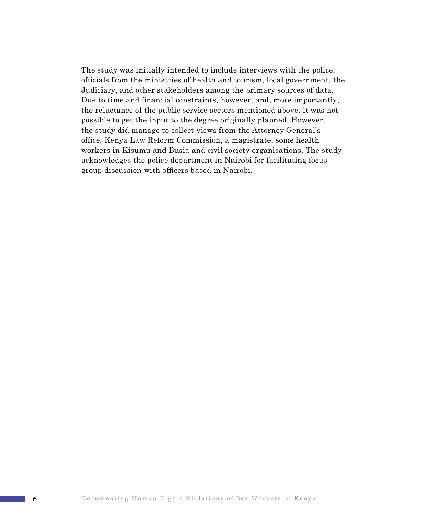The study was initially intended to include interviews with the police, officials from the ministries of health and tourism, local government, the Judiciary, and other stakeholders among the primary sources of data. Due to time and financial constraints, however, and, more importantly, the reluctance of the public service sectors mentioned above, it was not possible to get the input to the degree originally planned. However, the study did manage to collect views from the Attorney General's office, Kenya Law Reform Commission, a magistrate, some health workers in Kisumu and Busia and civil society organisations. The study acknowledges the police department in Nairobi for facilitating focus group discussion with officers based in Nairobi.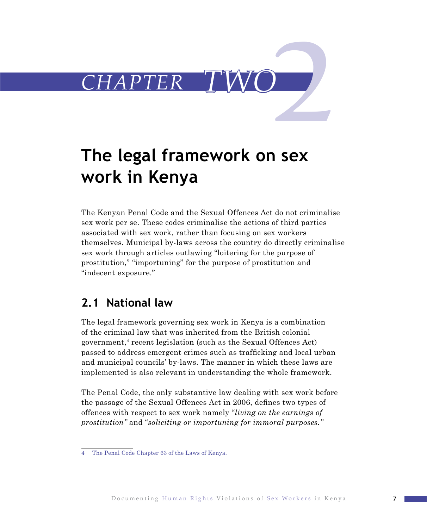

# **The legal framework on sex work in Kenya**

The Kenyan Penal Code and the Sexual Offences Act do not criminalise sex work per se. These codes criminalise the actions of third parties associated with sex work, rather than focusing on sex workers themselves. Municipal by-laws across the country do directly criminalise sex work through articles outlawing "loitering for the purpose of prostitution," "importuning" for the purpose of prostitution and "indecent exposure."

## **2.1 National law**

The legal framework governing sex work in Kenya is a combination of the criminal law that was inherited from the British colonial government, $4$  recent legislation (such as the Sexual Offences Act) passed to address emergent crimes such as trafficking and local urban and municipal councils' by-laws. The manner in which these laws are implemented is also relevant in understanding the whole framework.

The Penal Code, the only substantive law dealing with sex work before the passage of the Sexual Offences Act in 2006, defines two types of offences with respect to sex work namely "*living on the earnings of prostitution"* and "*soliciting or importuning for immoral purposes."*

The Penal Code Chapter 63 of the Laws of Kenya. $\overline{A}$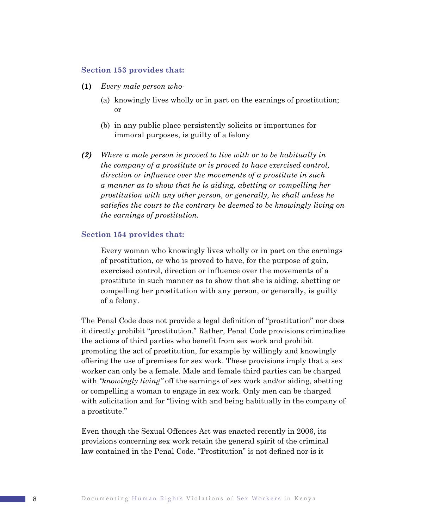#### **Section 153 provides that:**

- **(1)** *Every male person who-*
	- (a) knowingly lives wholly or in part on the earnings of prostitution; or
	- (b) in any public place persistently solicits or importunes for immoral purposes, is guilty of a felony
- *(2) Where a male person is proved to live with or to be habitually in the company of a prostitute or is proved to have exercised control, direction or influence over the movements of a prostitute in such a manner as to show that he is aiding, abetting or compelling her prostitution with any other person, or generally, he shall unless he satisfies the court to the contrary be deemed to be knowingly living on the earnings of prostitution.*

#### **Section 154 provides that:**

Every woman who knowingly lives wholly or in part on the earnings of prostitution, or who is proved to have, for the purpose of gain, exercised control, direction or influence over the movements of a prostitute in such manner as to show that she is aiding, abetting or compelling her prostitution with any person, or generally, is guilty of a felony.

The Penal Code does not provide a legal definition of "prostitution" nor does it directly prohibit "prostitution." Rather, Penal Code provisions criminalise the actions of third parties who benefit from sex work and prohibit promoting the act of prostitution, for example by willingly and knowingly offering the use of premises for sex work. These provisions imply that a sex worker can only be a female. Male and female third parties can be charged with *"knowingly living"* off the earnings of sex work and/or aiding, abetting or compelling a woman to engage in sex work. Only men can be charged with solicitation and for "living with and being habitually in the company of a prostitute."

Even though the Sexual Offences Act was enacted recently in 2006, its provisions concerning sex work retain the general spirit of the criminal law contained in the Penal Code. "Prostitution" is not defined nor is it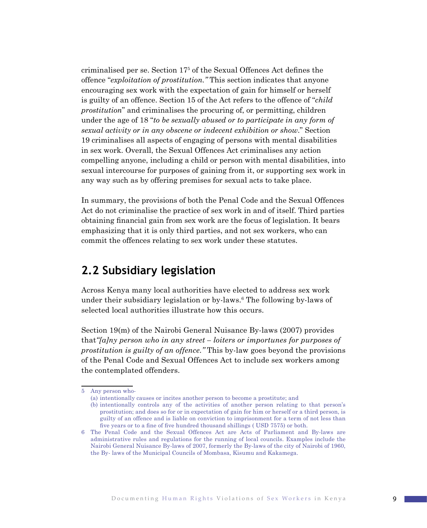criminalised per se. Section 17<sup>5</sup> of the Sexual Offences Act defines the offence "*exploitation of prostitution."* This section indicates that anyone encouraging sex work with the expectation of gain for himself or herself is guilty of an offence. Section 15 of the Act refers to the offence of "*child prostitution*" and criminalises the procuring of, or permitting, children under the age of 18 "*to be sexually abused or to participate in any form of sexual activity or in any obscene or indecent exhibition or show*." Section 19 criminalises all aspects of engaging of persons with mental disabilities in sex work. Overall, the Sexual Offences Act criminalises any action compelling anyone, including a child or person with mental disabilities, into sexual intercourse for purposes of gaining from it, or supporting sex work in any way such as by offering premises for sexual acts to take place.

In summary, the provisions of both the Penal Code and the Sexual Offences Act do not criminalise the practice of sex work in and of itself. Third parties obtaining financial gain from sex work are the focus of legislation. It bears emphasizing that it is only third parties, and not sex workers, who can commit the offences relating to sex work under these statutes.

### **2.2 Subsidiary legislation**

Across Kenya many local authorities have elected to address sex work under their subsidiary legislation or by-laws.<sup>6</sup> The following by-laws of selected local authorities illustrate how this occurs.

Section 19(m) of the Nairobi General Nuisance By-laws (2007) provides that*"[a]ny person who in any street – loiters or importunes for purposes of prostitution is guilty of an offence."* This by-law goes beyond the provisions of the Penal Code and Sexual Offences Act to include sex workers among the contemplated offenders.

<sup>5</sup> Any person who-

<sup>(</sup>a) intentionally causes or incites another person to become a prostitute; and

<sup>(</sup>b) intentionally controls any of the activities of another person relating to that person's prostitution; and does so for or in expectation of gain for him or herself or a third person, is guilty of an offence and is liable on conviction to imprisonment for a term of not less than five years or to a fine of five hundred thousand shillings ( USD 7575) or both.

The Penal Code and the Sexual Offences Act are Acts of Parliament and By-laws are administrative rules and regulations for the running of local councils. Examples include the Nairobi General Nuisance By-laws of 2007, formerly the By-laws of the city of Nairobi of 1960, the By- laws of the Municipal Councils of Mombasa, Kisumu and Kakamega.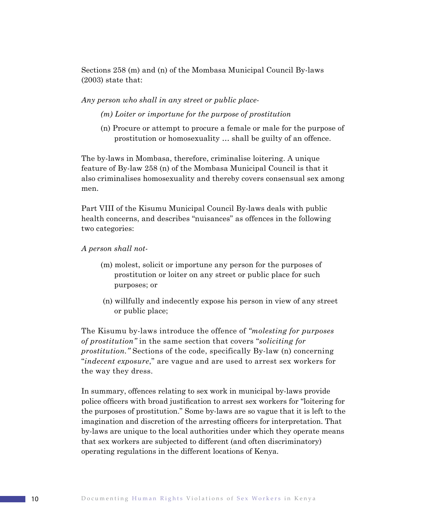Sections 258 (m) and (n) of the Mombasa Municipal Council By-laws (2003) state that:

*Any person who shall in any street or public place-*

*(m) Loiter or importune for the purpose of prostitution*

(n) Procure or attempt to procure a female or male for the purpose of prostitution or homosexuality … shall be guilty of an offence.

The by-laws in Mombasa, therefore, criminalise loitering. A unique feature of By-law 258 (n) of the Mombasa Municipal Council is that it also criminalises homosexuality and thereby covers consensual sex among men.

Part VIII of the Kisumu Municipal Council By-laws deals with public health concerns, and describes "nuisances" as offences in the following two categories:

*A person shall not-*

- (m) molest, solicit or importune any person for the purposes of prostitution or loiter on any street or public place for such purposes; or
- (n) willfully and indecently expose his person in view of any street or public place;

The Kisumu by-laws introduce the offence of *"molesting for purposes of prostitution"* in the same section that covers "*soliciting for prostitution."* Sections of the code, specifically By-law (n) concerning "*indecent exposure*," are vague and are used to arrest sex workers for the way they dress.

In summary, offences relating to sex work in municipal by-laws provide police officers with broad justification to arrest sex workers for "loitering for the purposes of prostitution." Some by-laws are so vague that it is left to the imagination and discretion of the arresting officers for interpretation. That by-laws are unique to the local authorities under which they operate means that sex workers are subjected to different (and often discriminatory) operating regulations in the different locations of Kenya.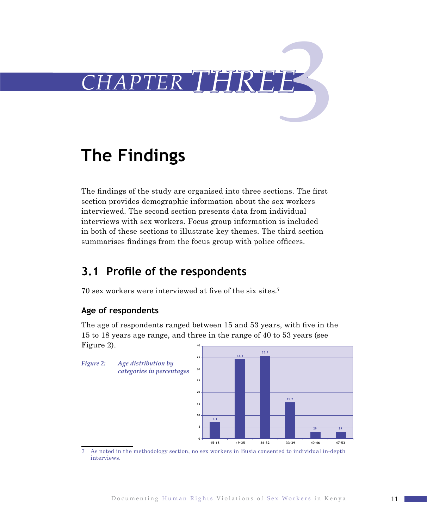

# **The Findings**

The findings of the study are organised into three sections. The first section provides demographic information about the sex workers interviewed. The second section presents data from individual interviews with sex workers. Focus group information is included in both of these sections to illustrate key themes. The third section summarises findings from the focus group with police officers.

# **3.1 Profile of the respondents**

70 sex workers were interviewed at five of the six sites.<sup>7</sup>

### **Age of respondents**

The age of respondents ranged between 15 and 53 years, with five in the 15 to 18 years age range, and three in the range of 40 to 53 years (see Figure 2). **40**



7 As noted in the methodology section, no sex workers in Busia consented to individual in-depth interviews.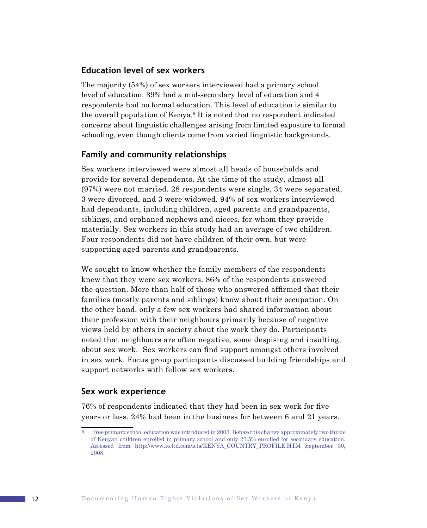### **Education level of sex workers**

The majority (54%) of sex workers interviewed had a primary school level of education. 39% had a mid-secondary level of education and 4 respondents had no formal education. This level of education is similar to the overall population of Kenya.<sup>8</sup> It is noted that no respondent indicated concerns about linguistic challenges arising from limited exposure to formal schooling, even though clients come from varied linguistic backgrounds.

### **Family and community relationships**

Sex workers interviewed were almost all heads of households and provide for several dependents. At the time of the study, almost all (97%) were not married. 28 respondents were single, 34 were separated, 3 were divorced, and 3 were widowed. 94% of sex workers interviewed had dependants, including children, aged parents and grandparents, siblings, and orphaned nephews and nieces, for whom they provide materially. Sex workers in this study had an average of two children. Four respondents did not have children of their own, but were supporting aged parents and grandparents.

We sought to know whether the family members of the respondents knew that they were sex workers. 86% of the respondents answered the question. More than half of those who answered affirmed that their families (mostly parents and siblings) know about their occupation. On the other hand, only a few sex workers had shared information about their profession with their neighbours primarily because of negative views held by others in society about the work they do. Participants noted that neighbours are often negative, some despising and insulting, about sex work. Sex workers can find support amongst others involved in sex work. Focus group participants discussed building friendships and support networks with fellow sex workers.

### **Sex work experience**

76% of respondents indicated that they had been in sex work for five years or less. 24% had been in the business for between 6 and 21 years.

<sup>8</sup>  Free primary school education was introduced in 2003. Before this change approximately two thirds of Kenyan children enrolled in primary school and only 23.5% enrolled for secondary education. Accessed from http://www.itcltd.com/icts/KENYA\_COUNTRY\_PROFILE.HTM September 30, 2008.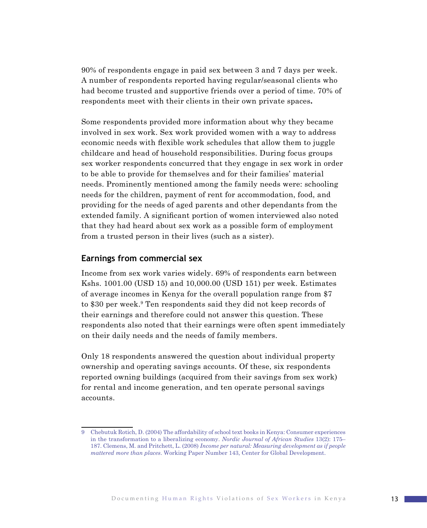90% of respondents engage in paid sex between 3 and 7 days per week. A number of respondents reported having regular/seasonal clients who had become trusted and supportive friends over a period of time. 70% of respondents meet with their clients in their own private spaces**.** 

Some respondents provided more information about why they became involved in sex work. Sex work provided women with a way to address economic needs with flexible work schedules that allow them to juggle childcare and head of household responsibilities. During focus groups sex worker respondents concurred that they engage in sex work in order to be able to provide for themselves and for their families' material needs. Prominently mentioned among the family needs were: schooling needs for the children, payment of rent for accommodation, food, and providing for the needs of aged parents and other dependants from the extended family. A significant portion of women interviewed also noted that they had heard about sex work as a possible form of employment from a trusted person in their lives (such as a sister).

### **Earnings from commercial sex**

Income from sex work varies widely. 69% of respondents earn between Kshs. 1001.00 (USD 15) and 10,000.00 (USD 151) per week. Estimates of average incomes in Kenya for the overall population range from \$7 to \$30 per week.<sup>9</sup> Ten respondents said they did not keep records of their earnings and therefore could not answer this question. These respondents also noted that their earnings were often spent immediately on their daily needs and the needs of family members.

Only 18 respondents answered the question about individual property ownership and operating savings accounts. Of these, six respondents reported owning buildings (acquired from their savings from sex work) for rental and income generation, and ten operate personal savings accounts.

Chebutuk Rotich, D. (2004) The affordability of school text books in Kenya: Consumer experiences in the transformation to a liberalizing economy. *Nordic Journal of African Studies* 13(2): 175– 187. Clemens, M. and Pritchett, L. (2008) *Income per natural: Measuring development as if people mattered more than places*. Working Paper Number 143, Center for Global Development.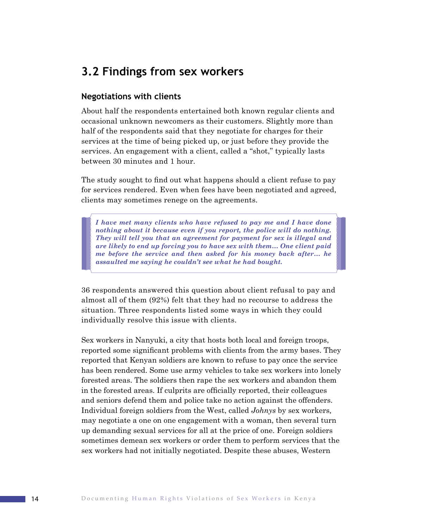### **3.2 Findings from sex workers**

### **Negotiations with clients**

About half the respondents entertained both known regular clients and occasional unknown newcomers as their customers. Slightly more than half of the respondents said that they negotiate for charges for their services at the time of being picked up, or just before they provide the services. An engagement with a client, called a "shot," typically lasts between 30 minutes and 1 hour.

The study sought to find out what happens should a client refuse to pay for services rendered. Even when fees have been negotiated and agreed, clients may sometimes renege on the agreements.

*I have met many clients who have refused to pay me and I have done nothing about it because even if you report, the police will do nothing. They will tell you that an agreement for payment for sex is illegal and are likely to end up forcing you to have sex with them… One client paid me before the service and then asked for his money back after… he assaulted me saying he couldn't see what he had bought.*

36 respondents answered this question about client refusal to pay and almost all of them (92%) felt that they had no recourse to address the situation. Three respondents listed some ways in which they could individually resolve this issue with clients.

Sex workers in Nanyuki, a city that hosts both local and foreign troops, reported some significant problems with clients from the army bases. They reported that Kenyan soldiers are known to refuse to pay once the service has been rendered. Some use army vehicles to take sex workers into lonely forested areas. The soldiers then rape the sex workers and abandon them in the forested areas. If culprits are officially reported, their colleagues and seniors defend them and police take no action against the offenders. Individual foreign soldiers from the West, called *Johnys* by sex workers*,* may negotiate a one on one engagement with a woman, then several turn up demanding sexual services for all at the price of one. Foreign soldiers sometimes demean sex workers or order them to perform services that the sex workers had not initially negotiated. Despite these abuses, Western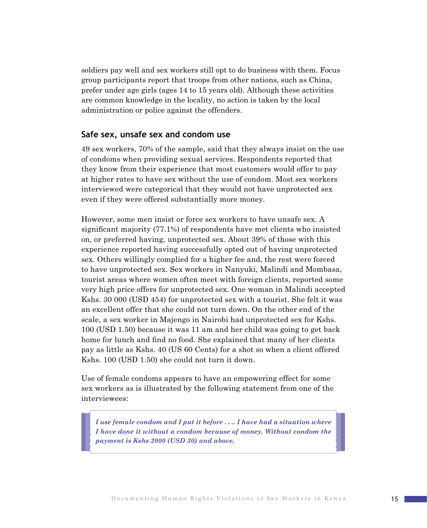soldiers pay well and sex workers still opt to do business with them. Focus group participants report that troops from other nations, such as China, prefer under age girls (ages 14 to 15 years old). Although these activities are common knowledge in the locality, no action is taken by the local administration or police against the offenders.

### **Safe sex, unsafe sex and condom use**

49 sex workers, 70% of the sample, said that they always insist on the use of condoms when providing sexual services. Respondents reported that they know from their experience that most customers would offer to pay at higher rates to have sex without the use of condom. Most sex workers interviewed were categorical that they would not have unprotected sex even if they were offered substantially more money.

However, some men insist or force sex workers to have unsafe sex. A significant majority (77.1%) of respondents have met clients who insisted on, or preferred having, unprotected sex. About 39% of those with this experience reported having successfully opted out of having unprotected sex. Others willingly complied for a higher fee and, the rest were forced to have unprotected sex. Sex workers in Nanyuki, Malindi and Mombasa, tourist areas where women often meet with foreign clients, reported some very high price offers for unprotected sex. One woman in Malindi accepted Kshs. 30 000 (USD 454) for unprotected sex with a tourist. She felt it was an excellent offer that she could not turn down. On the other end of the scale, a sex worker in Majengo in Nairobi had unprotected sex for Kshs. 100 (USD 1.50) because it was 11 am and her child was going to get back home for lunch and find no food. She explained that many of her clients pay as little as Kshs. 40 (US 60 Cents) for a shot so when a client offered Kshs. 100 (USD 1.50) she could not turn it down.

Use of female condoms appears to have an empowering effect for some sex workers as is illustrated by the following statement from one of the interviewees:

*I use female condom and I put it before . . .. I have had a situation where I have done it without a condom because of money. Without condom the payment is Kshs 2000 (USD 30) and above.*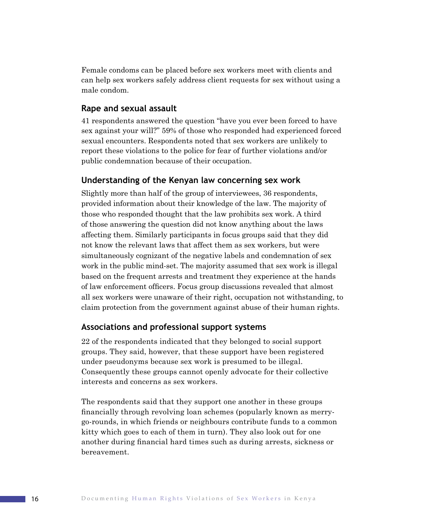Female condoms can be placed before sex workers meet with clients and can help sex workers safely address client requests for sex without using a male condom.

### **Rape and sexual assault**

41 respondents answered the question "have you ever been forced to have sex against your will?" 59% of those who responded had experienced forced sexual encounters. Respondents noted that sex workers are unlikely to report these violations to the police for fear of further violations and/or public condemnation because of their occupation.

### **Understanding of the Kenyan law concerning sex work**

Slightly more than half of the group of interviewees, 36 respondents, provided information about their knowledge of the law. The majority of those who responded thought that the law prohibits sex work. A third of those answering the question did not know anything about the laws affecting them. Similarly participants in focus groups said that they did not know the relevant laws that affect them as sex workers, but were simultaneously cognizant of the negative labels and condemnation of sex work in the public mind-set. The majority assumed that sex work is illegal based on the frequent arrests and treatment they experience at the hands of law enforcement officers. Focus group discussions revealed that almost all sex workers were unaware of their right, occupation not withstanding, to claim protection from the government against abuse of their human rights.

### **Associations and professional support systems**

22 of the respondents indicated that they belonged to social support groups. They said, however, that these support have been registered under pseudonyms because sex work is presumed to be illegal. Consequently these groups cannot openly advocate for their collective interests and concerns as sex workers.

The respondents said that they support one another in these groups financially through revolving loan schemes (popularly known as merrygo-rounds, in which friends or neighbours contribute funds to a common kitty which goes to each of them in turn). They also look out for one another during financial hard times such as during arrests, sickness or bereavement.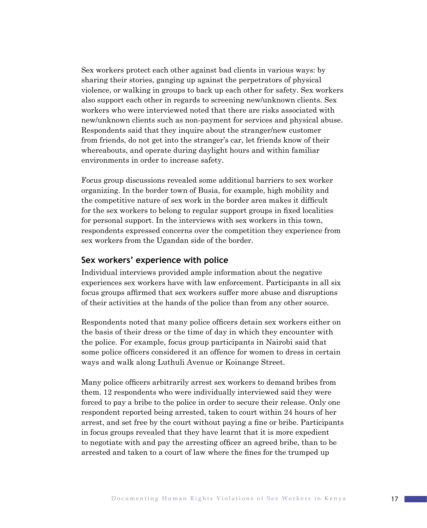Sex workers protect each other against bad clients in various ways: by sharing their stories, ganging up against the perpetrators of physical violence, or walking in groups to back up each other for safety. Sex workers also support each other in regards to screening new/unknown clients. Sex workers who were interviewed noted that there are risks associated with new/unknown clients such as non-payment for services and physical abuse. Respondents said that they inquire about the stranger/new customer from friends, do not get into the stranger's car, let friends know of their whereabouts, and operate during daylight hours and within familiar environments in order to increase safety.

Focus group discussions revealed some additional barriers to sex worker organizing. In the border town of Busia, for example, high mobility and the competitive nature of sex work in the border area makes it difficult for the sex workers to belong to regular support groups in fixed localities for personal support. In the interviews with sex workers in this town, respondents expressed concerns over the competition they experience from sex workers from the Ugandan side of the border.

### **Sex workers' experience with police**

Individual interviews provided ample information about the negative experiences sex workers have with law enforcement. Participants in all six focus groups affirmed that sex workers suffer more abuse and disruptions of their activities at the hands of the police than from any other source.

Respondents noted that many police officers detain sex workers either on the basis of their dress or the time of day in which they encounter with the police. For example, focus group participants in Nairobi said that some police officers considered it an offence for women to dress in certain ways and walk along Luthuli Avenue or Koinange Street.

Many police officers arbitrarily arrest sex workers to demand bribes from them. 12 respondents who were individually interviewed said they were forced to pay a bribe to the police in order to secure their release. Only one respondent reported being arrested, taken to court within 24 hours of her arrest, and set free by the court without paying a fine or bribe. Participants in focus groups revealed that they have learnt that it is more expedient to negotiate with and pay the arresting officer an agreed bribe, than to be arrested and taken to a court of law where the fines for the trumped up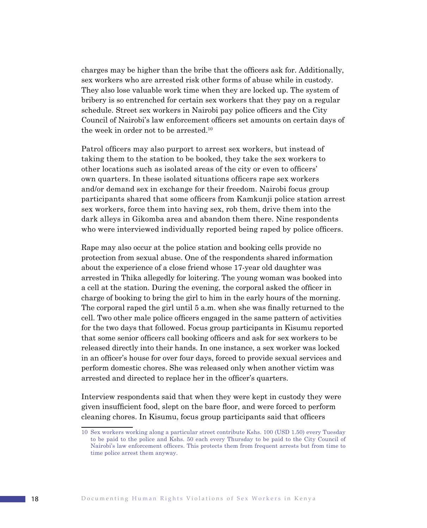charges may be higher than the bribe that the officers ask for. Additionally, sex workers who are arrested risk other forms of abuse while in custody. They also lose valuable work time when they are locked up. The system of bribery is so entrenched for certain sex workers that they pay on a regular schedule. Street sex workers in Nairobi pay police officers and the City Council of Nairobi's law enforcement officers set amounts on certain days of the week in order not to be arrested.10

Patrol officers may also purport to arrest sex workers, but instead of taking them to the station to be booked, they take the sex workers to other locations such as isolated areas of the city or even to officers' own quarters. In these isolated situations officers rape sex workers and/or demand sex in exchange for their freedom. Nairobi focus group participants shared that some officers from Kamkunji police station arrest sex workers, force them into having sex, rob them, drive them into the dark alleys in Gikomba area and abandon them there. Nine respondents who were interviewed individually reported being raped by police officers.

Rape may also occur at the police station and booking cells provide no protection from sexual abuse. One of the respondents shared information about the experience of a close friend whose 17-year old daughter was arrested in Thika allegedly for loitering. The young woman was booked into a cell at the station. During the evening, the corporal asked the officer in charge of booking to bring the girl to him in the early hours of the morning. The corporal raped the girl until 5 a.m. when she was finally returned to the cell. Two other male police officers engaged in the same pattern of activities for the two days that followed. Focus group participants in Kisumu reported that some senior officers call booking officers and ask for sex workers to be released directly into their hands. In one instance, a sex worker was locked in an officer's house for over four days, forced to provide sexual services and perform domestic chores. She was released only when another victim was arrested and directed to replace her in the officer's quarters.

Interview respondents said that when they were kept in custody they were given insufficient food, slept on the bare floor, and were forced to perform cleaning chores. In Kisumu, focus group participants said that officers

<sup>10</sup> Sex workers working along a particular street contribute Kshs. 100 (USD 1.50) every Tuesday to be paid to the police and Kshs. 50 each every Thursday to be paid to the City Council of Nairobi's law enforcement officers. This protects them from frequent arrests but from time to time police arrest them anyway.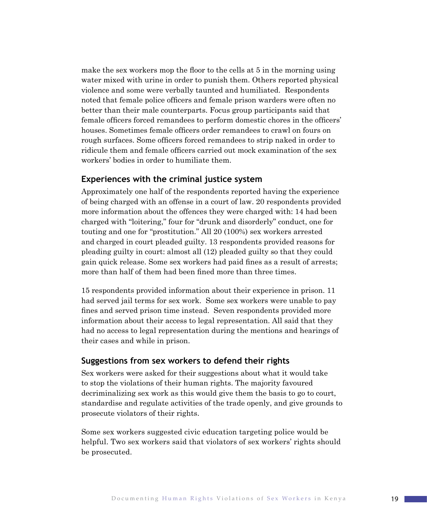make the sex workers mop the floor to the cells at 5 in the morning using water mixed with urine in order to punish them. Others reported physical violence and some were verbally taunted and humiliated. Respondents noted that female police officers and female prison warders were often no better than their male counterparts. Focus group participants said that female officers forced remandees to perform domestic chores in the officers' houses. Sometimes female officers order remandees to crawl on fours on rough surfaces. Some officers forced remandees to strip naked in order to ridicule them and female officers carried out mock examination of the sex workers' bodies in order to humiliate them.

### **Experiences with the criminal justice system**

Approximately one half of the respondents reported having the experience of being charged with an offense in a court of law. 20 respondents provided more information about the offences they were charged with: 14 had been charged with "loitering," four for "drunk and disorderly" conduct, one for touting and one for "prostitution." All 20 (100%) sex workers arrested and charged in court pleaded guilty. 13 respondents provided reasons for pleading guilty in court: almost all (12) pleaded guilty so that they could gain quick release. Some sex workers had paid fines as a result of arrests; more than half of them had been fined more than three times.

15 respondents provided information about their experience in prison. 11 had served jail terms for sex work. Some sex workers were unable to pay fines and served prison time instead. Seven respondents provided more information about their access to legal representation. All said that they had no access to legal representation during the mentions and hearings of their cases and while in prison.

### **Suggestions from sex workers to defend their rights**

Sex workers were asked for their suggestions about what it would take to stop the violations of their human rights. The majority favoured decriminalizing sex work as this would give them the basis to go to court, standardise and regulate activities of the trade openly, and give grounds to prosecute violators of their rights.

Some sex workers suggested civic education targeting police would be helpful. Two sex workers said that violators of sex workers' rights should be prosecuted.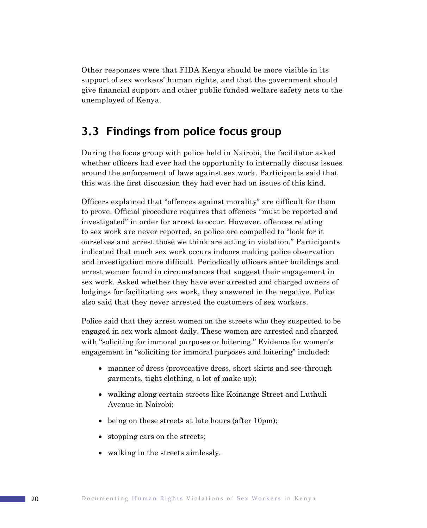Other responses were that FIDA Kenya should be more visible in its support of sex workers' human rights, and that the government should give financial support and other public funded welfare safety nets to the unemployed of Kenya.

## **3.3 Findings from police focus group**

During the focus group with police held in Nairobi, the facilitator asked whether officers had ever had the opportunity to internally discuss issues around the enforcement of laws against sex work. Participants said that this was the first discussion they had ever had on issues of this kind.

Officers explained that "offences against morality" are difficult for them to prove. Official procedure requires that offences "must be reported and investigated" in order for arrest to occur. However, offences relating to sex work are never reported, so police are compelled to "look for it ourselves and arrest those we think are acting in violation." Participants indicated that much sex work occurs indoors making police observation and investigation more difficult. Periodically officers enter buildings and arrest women found in circumstances that suggest their engagement in sex work. Asked whether they have ever arrested and charged owners of lodgings for facilitating sex work, they answered in the negative. Police also said that they never arrested the customers of sex workers.

Police said that they arrest women on the streets who they suspected to be engaged in sex work almost daily. These women are arrested and charged with "soliciting for immoral purposes or loitering." Evidence for women's engagement in "soliciting for immoral purposes and loitering" included:

- manner of dress (provocative dress, short skirts and see-through garments, tight clothing, a lot of make up);
- walking along certain streets like Koinange Street and Luthuli Avenue in Nairobi;
- being on these streets at late hours (after 10pm);
- stopping cars on the streets;
- walking in the streets aimlessly.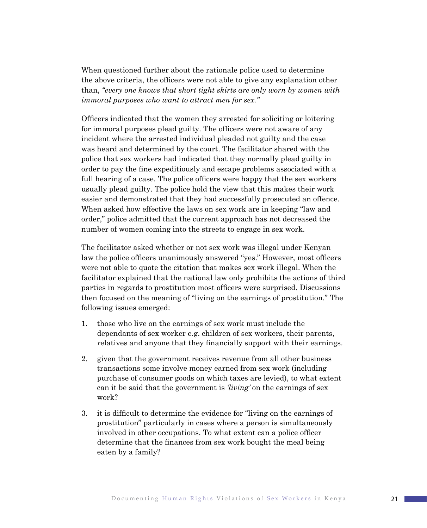When questioned further about the rationale police used to determine the above criteria, the officers were not able to give any explanation other than, *"every one knows that short tight skirts are only worn by women with immoral purposes who want to attract men for sex."*

Officers indicated that the women they arrested for soliciting or loitering for immoral purposes plead guilty. The officers were not aware of any incident where the arrested individual pleaded not guilty and the case was heard and determined by the court. The facilitator shared with the police that sex workers had indicated that they normally plead guilty in order to pay the fine expeditiously and escape problems associated with a full hearing of a case. The police officers were happy that the sex workers usually plead guilty. The police hold the view that this makes their work easier and demonstrated that they had successfully prosecuted an offence. When asked how effective the laws on sex work are in keeping "law and order," police admitted that the current approach has not decreased the number of women coming into the streets to engage in sex work.

The facilitator asked whether or not sex work was illegal under Kenyan law the police officers unanimously answered "yes." However, most officers were not able to quote the citation that makes sex work illegal. When the facilitator explained that the national law only prohibits the actions of third parties in regards to prostitution most officers were surprised. Discussions then focused on the meaning of "living on the earnings of prostitution." The following issues emerged:

- 1. those who live on the earnings of sex work must include the dependants of sex worker e.g. children of sex workers, their parents, relatives and anyone that they financially support with their earnings.
- 2. given that the government receives revenue from all other business transactions some involve money earned from sex work (including purchase of consumer goods on which taxes are levied), to what extent can it be said that the government is *'living'* on the earnings of sex work?
- 3. it is difficult to determine the evidence for "living on the earnings of prostitution" particularly in cases where a person is simultaneously involved in other occupations. To what extent can a police officer determine that the finances from sex work bought the meal being eaten by a family?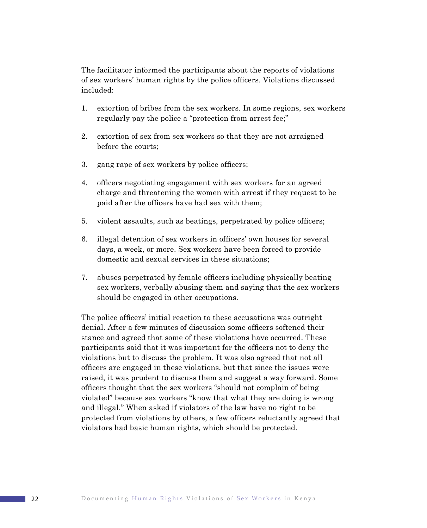The facilitator informed the participants about the reports of violations of sex workers' human rights by the police officers. Violations discussed included:

- 1. extortion of bribes from the sex workers. In some regions, sex workers regularly pay the police a "protection from arrest fee;"
- 2. extortion of sex from sex workers so that they are not arraigned before the courts;
- 3. gang rape of sex workers by police officers;
- 4. officers negotiating engagement with sex workers for an agreed charge and threatening the women with arrest if they request to be paid after the officers have had sex with them;
- 5. violent assaults, such as beatings, perpetrated by police officers;
- 6. illegal detention of sex workers in officers' own houses for several days, a week, or more. Sex workers have been forced to provide domestic and sexual services in these situations;
- 7. abuses perpetrated by female officers including physically beating sex workers, verbally abusing them and saying that the sex workers should be engaged in other occupations.

The police officers' initial reaction to these accusations was outright denial. After a few minutes of discussion some officers softened their stance and agreed that some of these violations have occurred. These participants said that it was important for the officers not to deny the violations but to discuss the problem. It was also agreed that not all officers are engaged in these violations, but that since the issues were raised, it was prudent to discuss them and suggest a way forward. Some officers thought that the sex workers "should not complain of being violated" because sex workers "know that what they are doing is wrong and illegal." When asked if violators of the law have no right to be protected from violations by others, a few officers reluctantly agreed that violators had basic human rights, which should be protected.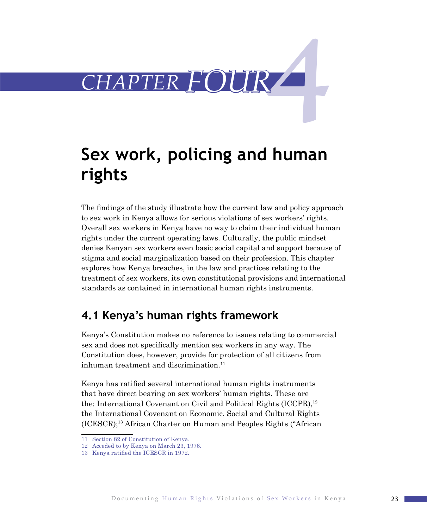

# **Sex work, policing and human rights**

The findings of the study illustrate how the current law and policy approach to sex work in Kenya allows for serious violations of sex workers' rights. Overall sex workers in Kenya have no way to claim their individual human rights under the current operating laws. Culturally, the public mindset denies Kenyan sex workers even basic social capital and support because of stigma and social marginalization based on their profession. This chapter explores how Kenya breaches, in the law and practices relating to the treatment of sex workers, its own constitutional provisions and international standards as contained in international human rights instruments.

# **4.1 Kenya's human rights framework**

Kenya's Constitution makes no reference to issues relating to commercial sex and does not specifically mention sex workers in any way. The Constitution does, however, provide for protection of all citizens from inhuman treatment and discrimination. $11$ 

Kenya has ratified several international human rights instruments that have direct bearing on sex workers' human rights. These are the: International Covenant on Civil and Political Rights (ICCPR),<sup>12</sup> the International Covenant on Economic, Social and Cultural Rights (ICESCR);13 African Charter on Human and Peoples Rights ("African

<sup>11</sup> Section 82 of Constitution of Kenya.

<sup>12</sup> Acceded to by Kenya on March 23, 1976.

<sup>13</sup> Kenya ratified the ICESCR in 1972.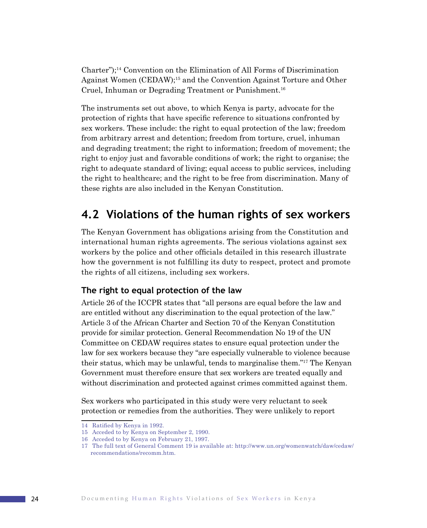Charter");<sup>14</sup> Convention on the Elimination of All Forms of Discrimination Against Women (CEDAW);15 and the Convention Against Torture and Other Cruel, Inhuman or Degrading Treatment or Punishment.16

The instruments set out above, to which Kenya is party, advocate for the protection of rights that have specific reference to situations confronted by sex workers. These include: the right to equal protection of the law; freedom from arbitrary arrest and detention; freedom from torture, cruel, inhuman and degrading treatment; the right to information; freedom of movement; the right to enjoy just and favorable conditions of work; the right to organise; the right to adequate standard of living; equal access to public services, including the right to healthcare; and the right to be free from discrimination. Many of these rights are also included in the Kenyan Constitution.

## **4.2 Violations of the human rights of sex workers**

The Kenyan Government has obligations arising from the Constitution and international human rights agreements. The serious violations against sex workers by the police and other officials detailed in this research illustrate how the government is not fulfilling its duty to respect, protect and promote the rights of all citizens, including sex workers.

### **The right to equal protection of the law**

Article 26 of the ICCPR states that "all persons are equal before the law and are entitled without any discrimination to the equal protection of the law." Article 3 of the African Charter and Section 70 of the Kenyan Constitution provide for similar protection. General Recommendation No 19 of the UN Committee on CEDAW requires states to ensure equal protection under the law for sex workers because they "are especially vulnerable to violence because their status, which may be unlawful, tends to marginalise them."17 The Kenyan Government must therefore ensure that sex workers are treated equally and without discrimination and protected against crimes committed against them.

Sex workers who participated in this study were very reluctant to seek protection or remedies from the authorities. They were unlikely to report

<sup>14</sup> Ratified by Kenya in 1992.

<sup>15</sup> Acceded to by Kenya on September 2, 1990.

<sup>16</sup> Acceded to by Kenya on February 21, 1997.

<sup>17</sup> The full text of General Comment 19 is available at: http://www.un.org/womenwatch/daw/cedaw/ recommendations/recomm.htm.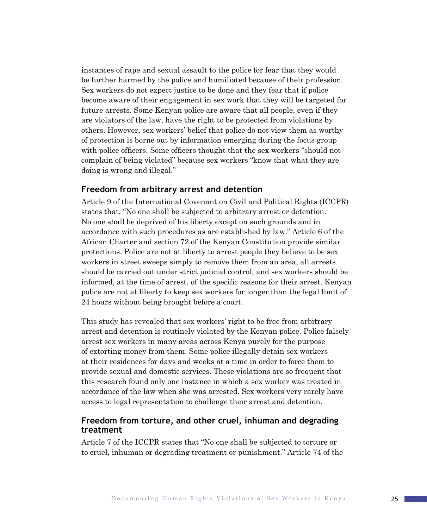instances of rape and sexual assault to the police for fear that they would be further harmed by the police and humiliated because of their profession. Sex workers do not expect justice to be done and they fear that if police become aware of their engagement in sex work that they will be targeted for future arrests. Some Kenyan police are aware that all people, even if they are violators of the law, have the right to be protected from violations by others. However, sex workers' belief that police do not view them as worthy of protection is borne out by information emerging during the focus group with police officers. Some officers thought that the sex workers "should not complain of being violated" because sex workers "know that what they are doing is wrong and illegal."

### **Freedom from arbitrary arrest and detention**

Article 9 of the International Covenant on Civil and Political Rights (ICCPR) states that, "No one shall be subjected to arbitrary arrest or detention. No one shall be deprived of his liberty except on such grounds and in accordance with such procedures as are established by law." Article 6 of the African Charter and section 72 of the Kenyan Constitution provide similar protections. Police are not at liberty to arrest people they believe to be sex workers in street sweeps simply to remove them from an area, all arrests should be carried out under strict judicial control, and sex workers should be informed, at the time of arrest, of the specific reasons for their arrest. Kenyan police are not at liberty to keep sex workers for longer than the legal limit of 24 hours without being brought before a court.

This study has revealed that sex workers' right to be free from arbitrary arrest and detention is routinely violated by the Kenyan police. Police falsely arrest sex workers in many areas across Kenya purely for the purpose of extorting money from them. Some police illegally detain sex workers at their residences for days and weeks at a time in order to force them to provide sexual and domestic services. These violations are so frequent that this research found only one instance in which a sex worker was treated in accordance of the law when she was arrested. Sex workers very rarely have access to legal representation to challenge their arrest and detention.

### **Freedom from torture, and other cruel, inhuman and degrading treatment**

Article 7 of the ICCPR states that "No one shall be subjected to torture or to cruel, inhuman or degrading treatment or punishment." Article 74 of the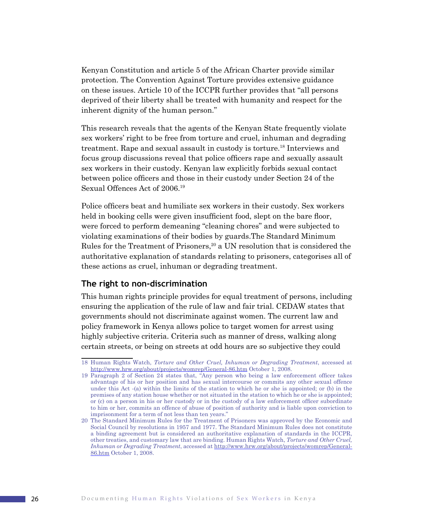Kenyan Constitution and article 5 of the African Charter provide similar protection. The Convention Against Torture provides extensive guidance on these issues. Article 10 of the ICCPR further provides that "all persons deprived of their liberty shall be treated with humanity and respect for the inherent dignity of the human person."

This research reveals that the agents of the Kenyan State frequently violate sex workers' right to be free from torture and cruel, inhuman and degrading treatment. Rape and sexual assault in custody is torture.18 Interviews and focus group discussions reveal that police officers rape and sexually assault sex workers in their custody. Kenyan law explicitly forbids sexual contact between police officers and those in their custody under Section 24 of the Sexual Offences Act of 2006.<sup>19</sup>

Police officers beat and humiliate sex workers in their custody. Sex workers held in booking cells were given insufficient food, slept on the bare floor, were forced to perform demeaning "cleaning chores" and were subjected to violating examinations of their bodies by guards.The Standard Minimum Rules for the Treatment of Prisoners,<sup>20</sup> a UN resolution that is considered the authoritative explanation of standards relating to prisoners, categorises all of these actions as cruel, inhuman or degrading treatment.

### **The right to non-discrimination**

This human rights principle provides for equal treatment of persons, including ensuring the application of the rule of law and fair trial. CEDAW states that governments should not discriminate against women. The current law and policy framework in Kenya allows police to target women for arrest using highly subjective criteria. Criteria such as manner of dress, walking along certain streets, or being on streets at odd hours are so subjective they could

<sup>18</sup> Human Rights Watch, *Torture and Other Cruel, Inhuman or Degrading Treatment*, accessed at http://www.hrw.org/about/projects/womrep/General-86.htm October 1, 2008.

<sup>19</sup> Paragraph 2 of Section 24 states that, "Any person who being a law enforcement officer takes advantage of his or her position and has sexual intercourse or commits any other sexual offence under this Act -(a) within the limits of the station to which he or she is appointed; or (b) in the premises of any station house whether or not situated in the station to which he or she is appointed; or (c) on a person in his or her custody or in the custody of a law enforcement officer subordinate to him or her, commits an offence of abuse of position of authority and is liable upon conviction to imprisonment for a term of not less than ten years."

<sup>20</sup> The Standard Minimum Rules for the Treatment of Prisoners was approved by the Economic and Social Council by resolutions in 1957 and 1977. The Standard Minimum Rules does not constitute a binding agreement but is considered an authoritative explanation of standards in the ICCPR, other treaties, and customary law that are binding. Human Rights Watch, *Torture and Other Cruel, Inhuman or Degrading Treatment*, accessed at http://www.hrw.org/about/projects/womrep/General-86.htm October 1, 2008.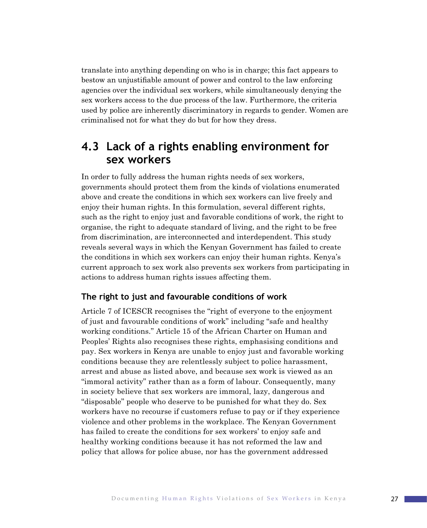translate into anything depending on who is in charge; this fact appears to bestow an unjustifiable amount of power and control to the law enforcing agencies over the individual sex workers, while simultaneously denying the sex workers access to the due process of the law. Furthermore, the criteria used by police are inherently discriminatory in regards to gender. Women are criminalised not for what they do but for how they dress.

### **4.3 Lack of a rights enabling environment for sex workers**

In order to fully address the human rights needs of sex workers, governments should protect them from the kinds of violations enumerated above and create the conditions in which sex workers can live freely and enjoy their human rights. In this formulation, several different rights, such as the right to enjoy just and favorable conditions of work, the right to organise, the right to adequate standard of living, and the right to be free from discrimination, are interconnected and interdependent. This study reveals several ways in which the Kenyan Government has failed to create the conditions in which sex workers can enjoy their human rights. Kenya's current approach to sex work also prevents sex workers from participating in actions to address human rights issues affecting them.

### **The right to just and favourable conditions of work**

Article 7 of ICESCR recognises the "right of everyone to the enjoyment of just and favourable conditions of work" including "safe and healthy working conditions." Article 15 of the African Charter on Human and Peoples' Rights also recognises these rights, emphasising conditions and pay. Sex workers in Kenya are unable to enjoy just and favorable working conditions because they are relentlessly subject to police harassment, arrest and abuse as listed above, and because sex work is viewed as an "immoral activity" rather than as a form of labour. Consequently, many in society believe that sex workers are immoral, lazy, dangerous and "disposable" people who deserve to be punished for what they do. Sex workers have no recourse if customers refuse to pay or if they experience violence and other problems in the workplace. The Kenyan Government has failed to create the conditions for sex workers' to enjoy safe and healthy working conditions because it has not reformed the law and policy that allows for police abuse, nor has the government addressed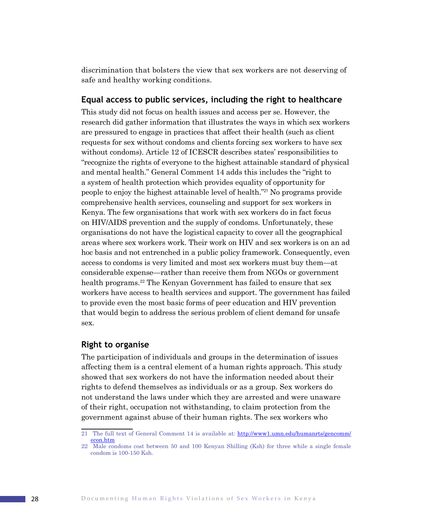discrimination that bolsters the view that sex workers are not deserving of safe and healthy working conditions.

### **Equal access to public services, including the right to healthcare**

This study did not focus on health issues and access per se. However, the research did gather information that illustrates the ways in which sex workers are pressured to engage in practices that affect their health (such as client requests for sex without condoms and clients forcing sex workers to have sex without condoms). Article 12 of ICESCR describes states' responsibilities to "recognize the rights of everyone to the highest attainable standard of physical and mental health." General Comment 14 adds this includes the "right to a system of health protection which provides equality of opportunity for people to enjoy the highest attainable level of health."21 No programs provide comprehensive health services, counseling and support for sex workers in Kenya. The few organisations that work with sex workers do in fact focus on HIV/AIDS prevention and the supply of condoms. Unfortunately, these organisations do not have the logistical capacity to cover all the geographical areas where sex workers work. Their work on HIV and sex workers is on an ad hoc basis and not entrenched in a public policy framework. Consequently, even access to condoms is very limited and most sex workers must buy them—at considerable expense—rather than receive them from NGOs or government health programs.<sup>22</sup> The Kenyan Government has failed to ensure that sex workers have access to health services and support. The government has failed to provide even the most basic forms of peer education and HIV prevention that would begin to address the serious problem of client demand for unsafe sex.

### **Right to organise**

The participation of individuals and groups in the determination of issues affecting them is a central element of a human rights approach. This study showed that sex workers do not have the information needed about their rights to defend themselves as individuals or as a group. Sex workers do not understand the laws under which they are arrested and were unaware of their right, occupation not withstanding, to claim protection from the government against abuse of their human rights. The sex workers who

<sup>21</sup> The full text of General Comment 14 is available at: http://www1.umn.edu/humanrts/gencomm/ econ.htm

<sup>22</sup> Male condoms cost between 50 and 100 Kenyan Shilling (Ksh) for three while a single female condom is 100-150 Ksh.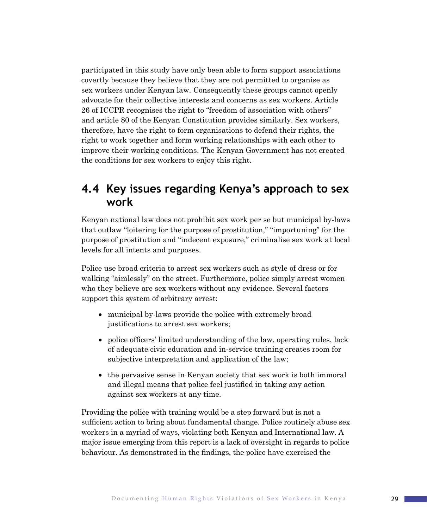participated in this study have only been able to form support associations covertly because they believe that they are not permitted to organise as sex workers under Kenyan law. Consequently these groups cannot openly advocate for their collective interests and concerns as sex workers. Article 26 of ICCPR recognises the right to "freedom of association with others" and article 80 of the Kenyan Constitution provides similarly. Sex workers, therefore, have the right to form organisations to defend their rights, the right to work together and form working relationships with each other to improve their working conditions. The Kenyan Government has not created the conditions for sex workers to enjoy this right.

### **4.4 Key issues regarding Kenya's approach to sex work**

Kenyan national law does not prohibit sex work per se but municipal by-laws that outlaw "loitering for the purpose of prostitution," "importuning" for the purpose of prostitution and "indecent exposure," criminalise sex work at local levels for all intents and purposes.

Police use broad criteria to arrest sex workers such as style of dress or for walking "aimlessly" on the street. Furthermore, police simply arrest women who they believe are sex workers without any evidence. Several factors support this system of arbitrary arrest:

- municipal by-laws provide the police with extremely broad justifications to arrest sex workers;
- police officers' limited understanding of the law, operating rules, lack of adequate civic education and in-service training creates room for subjective interpretation and application of the law;
- the pervasive sense in Kenyan society that sex work is both immoral and illegal means that police feel justified in taking any action against sex workers at any time.

Providing the police with training would be a step forward but is not a sufficient action to bring about fundamental change. Police routinely abuse sex workers in a myriad of ways, violating both Kenyan and International law. A major issue emerging from this report is a lack of oversight in regards to police behaviour. As demonstrated in the findings, the police have exercised the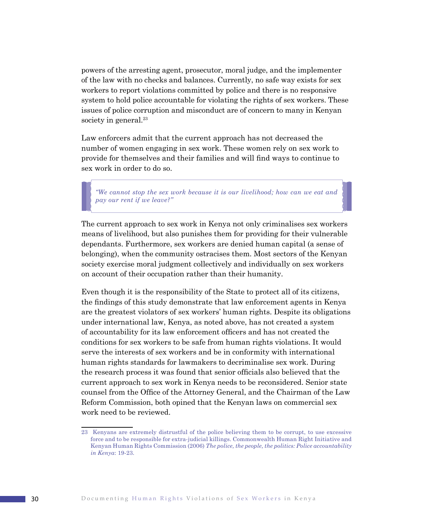powers of the arresting agent, prosecutor, moral judge, and the implementer of the law with no checks and balances. Currently, no safe way exists for sex workers to report violations committed by police and there is no responsive system to hold police accountable for violating the rights of sex workers. These issues of police corruption and misconduct are of concern to many in Kenyan society in general.<sup>23</sup>

Law enforcers admit that the current approach has not decreased the number of women engaging in sex work. These women rely on sex work to provide for themselves and their families and will find ways to continue to sex work in order to do so.

*"We cannot stop the sex work because it is our livelihood; how can we eat and pay our rent if we leave?"*

The current approach to sex work in Kenya not only criminalises sex workers means of livelihood, but also punishes them for providing for their vulnerable dependants. Furthermore, sex workers are denied human capital (a sense of belonging), when the community ostracises them. Most sectors of the Kenyan society exercise moral judgment collectively and individually on sex workers on account of their occupation rather than their humanity.

Even though it is the responsibility of the State to protect all of its citizens, the findings of this study demonstrate that law enforcement agents in Kenya are the greatest violators of sex workers' human rights. Despite its obligations under international law, Kenya, as noted above, has not created a system of accountability for its law enforcement officers and has not created the conditions for sex workers to be safe from human rights violations. It would serve the interests of sex workers and be in conformity with international human rights standards for lawmakers to decriminalise sex work. During the research process it was found that senior officials also believed that the current approach to sex work in Kenya needs to be reconsidered. Senior state counsel from the Office of the Attorney General, and the Chairman of the Law Reform Commission, both opined that the Kenyan laws on commercial sex work need to be reviewed.

<sup>23</sup> Kenyans are extremely distrustful of the police believing them to be corrupt, to use excessive force and to be responsible for extra-judicial killings. Commonwealth Human Right Initiative and Kenyan Human Rights Commission (2006) *The police, the people, the politics: Police accountability in Kenya*: 19-23.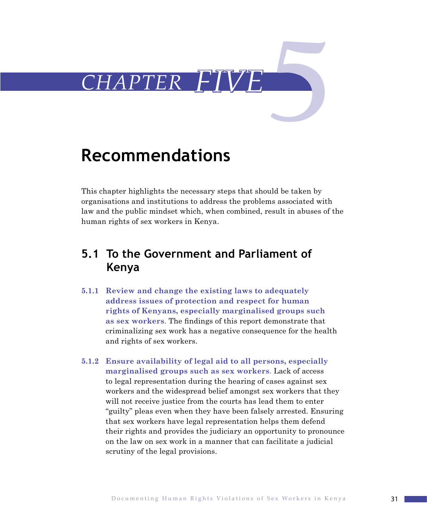

# **Recommendations**

This chapter highlights the necessary steps that should be taken by organisations and institutions to address the problems associated with law and the public mindset which, when combined, result in abuses of the human rights of sex workers in Kenya.

# **5.1 To the Government and Parliament of Kenya**

- **5.1.1 Review and change the existing laws to adequately address issues of protection and respect for human rights of Kenyans, especially marginalised groups such as sex workers**. The findings of this report demonstrate that criminalizing sex work has a negative consequence for the health and rights of sex workers.
- **5.1.2 Ensure availability of legal aid to all persons, especially marginalised groups such as sex workers**. Lack of access to legal representation during the hearing of cases against sex workers and the widespread belief amongst sex workers that they will not receive justice from the courts has lead them to enter "guilty" pleas even when they have been falsely arrested. Ensuring that sex workers have legal representation helps them defend their rights and provides the judiciary an opportunity to pronounce on the law on sex work in a manner that can facilitate a judicial scrutiny of the legal provisions.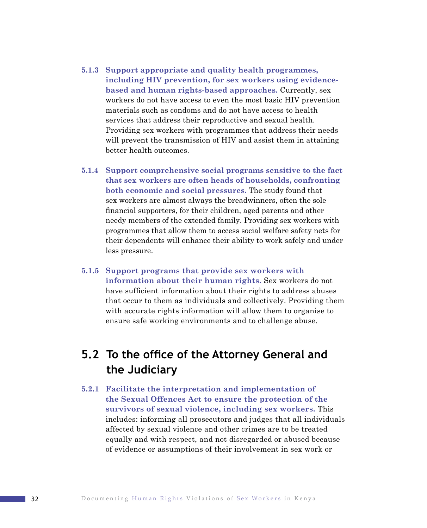- **5.1.3 Support appropriate and quality health programmes, including HIV prevention, for sex workers using evidencebased and human rights-based approaches.** Currently, sex workers do not have access to even the most basic HIV prevention materials such as condoms and do not have access to health services that address their reproductive and sexual health. Providing sex workers with programmes that address their needs will prevent the transmission of HIV and assist them in attaining better health outcomes.
- **5.1.4 Support comprehensive social programs sensitive to the fact that sex workers are often heads of households, confronting both economic and social pressures.** The study found that sex workers are almost always the breadwinners, often the sole financial supporters, for their children, aged parents and other needy members of the extended family. Providing sex workers with programmes that allow them to access social welfare safety nets for their dependents will enhance their ability to work safely and under less pressure.
- **5.1.5 Support programs that provide sex workers with information about their human rights.** Sex workers do not have sufficient information about their rights to address abuses that occur to them as individuals and collectively. Providing them with accurate rights information will allow them to organise to ensure safe working environments and to challenge abuse.

# **5.2 To the office of the Attorney General and the Judiciary**

**5.2.1 Facilitate the interpretation and implementation of the Sexual Offences Act to ensure the protection of the survivors of sexual violence, including sex workers.** This includes: informing all prosecutors and judges that all individuals affected by sexual violence and other crimes are to be treated equally and with respect, and not disregarded or abused because of evidence or assumptions of their involvement in sex work or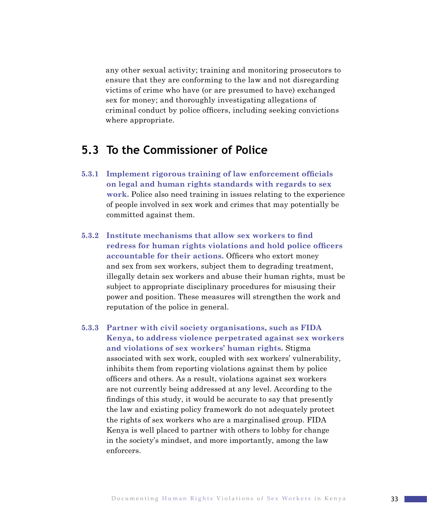any other sexual activity; training and monitoring prosecutors to ensure that they are conforming to the law and not disregarding victims of crime who have (or are presumed to have) exchanged sex for money; and thoroughly investigating allegations of criminal conduct by police officers, including seeking convictions where appropriate.

# **5.3 To the Commissioner of Police**

- **5.3.1 Implement rigorous training of law enforcement officials on legal and human rights standards with regards to sex work.** Police also need training in issues relating to the experience of people involved in sex work and crimes that may potentially be committed against them.
- **5.3.2 Institute mechanisms that allow sex workers to find redress for human rights violations and hold police officers accountable for their actions.** Officers who extort money and sex from sex workers, subject them to degrading treatment, illegally detain sex workers and abuse their human rights, must be subject to appropriate disciplinary procedures for misusing their power and position. These measures will strengthen the work and reputation of the police in general.
- **5.3.3 Partner with civil society organisations, such as FIDA Kenya, to address violence perpetrated against sex workers and violations of sex workers' human rights.** Stigma associated with sex work, coupled with sex workers' vulnerability, inhibits them from reporting violations against them by police officers and others. As a result, violations against sex workers are not currently being addressed at any level. According to the findings of this study, it would be accurate to say that presently the law and existing policy framework do not adequately protect the rights of sex workers who are a marginalised group. FIDA Kenya is well placed to partner with others to lobby for change in the society's mindset, and more importantly, among the law enforcers.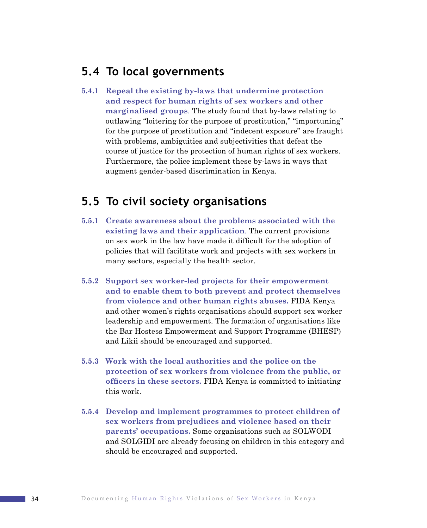### **5.4 To local governments**

**5.4.1 Repeal the existing by-laws that undermine protection and respect for human rights of sex workers and other marginalised groups**. The study found that by-laws relating to outlawing "loitering for the purpose of prostitution," "importuning" for the purpose of prostitution and "indecent exposure" are fraught with problems, ambiguities and subjectivities that defeat the course of justice for the protection of human rights of sex workers. Furthermore, the police implement these by-laws in ways that augment gender-based discrimination in Kenya.

### **5.5 To civil society organisations**

- **5.5.1 Create awareness about the problems associated with the existing laws and their application**. The current provisions on sex work in the law have made it difficult for the adoption of policies that will facilitate work and projects with sex workers in many sectors, especially the health sector.
- **5.5.2 Support sex worker-led projects for their empowerment and to enable them to both prevent and protect themselves from violence and other human rights abuses.** FIDA Kenya and other women's rights organisations should support sex worker leadership and empowerment. The formation of organisations like the Bar Hostess Empowerment and Support Programme (BHESP) and Likii should be encouraged and supported.
- **5.5.3 Work with the local authorities and the police on the protection of sex workers from violence from the public, or officers in these sectors.** FIDA Kenya is committed to initiating this work.
- **5.5.4 Develop and implement programmes to protect children of sex workers from prejudices and violence based on their parents' occupations.** Some organisations such as SOLWODI and SOLGIDI are already focusing on children in this category and should be encouraged and supported.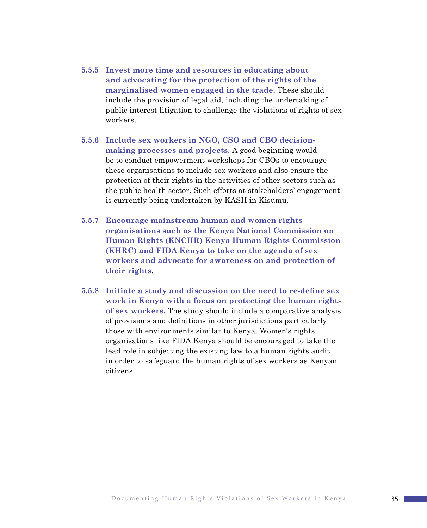- **5.5.5 Invest more time and resources in educating about and advocating for the protection of the rights of the marginalised women engaged in the trade.** These should include the provision of legal aid, including the undertaking of public interest litigation to challenge the violations of rights of sex workers.
- **5.5.6 Include sex workers in NGO, CSO and CBO decisionmaking processes and projects.** A good beginning would be to conduct empowerment workshops for CBOs to encourage these organisations to include sex workers and also ensure the protection of their rights in the activities of other sectors such as the public health sector. Such efforts at stakeholders' engagement is currently being undertaken by KASH in Kisumu.
- **5.5.7 Encourage mainstream human and women rights organisations such as the Kenya National Commission on Human Rights (KNCHR) Kenya Human Rights Commission (KHRC) and FIDA Kenya to take on the agenda of sex workers and advocate for awareness on and protection of their rights.**
- **5.5.8 Initiate a study and discussion on the need to re-define sex work in Kenya with a focus on protecting the human rights of sex workers.** The study should include a comparative analysis of provisions and definitions in other jurisdictions particularly those with environments similar to Kenya. Women's rights organisations like FIDA Kenya should be encouraged to take the lead role in subjecting the existing law to a human rights audit in order to safeguard the human rights of sex workers as Kenyan citizens.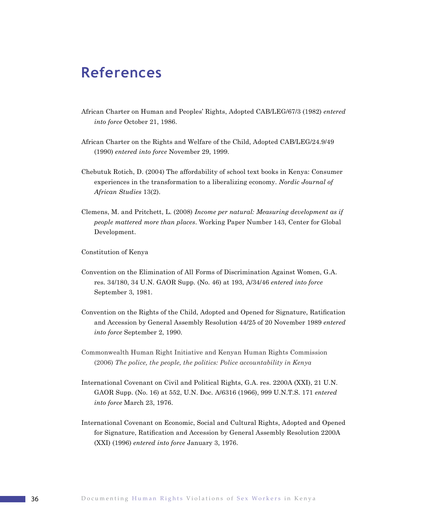# **References**

- African Charter on Human and Peoples' Rights, Adopted CAB/LEG/67/3 (1982) *entered into force* October 21, 1986.
- African Charter on the Rights and Welfare of the Child, Adopted CAB/LEG/24.9/49 (1990) *entered into force* November 29, 1999.
- Chebutuk Rotich, D. (2004) The affordability of school text books in Kenya: Consumer experiences in the transformation to a liberalizing economy. *Nordic Journal of African Studies* 13(2).
- Clemens, M. and Pritchett, L. (2008) *Income per natural: Measuring development as if people mattered more than places*. Working Paper Number 143, Center for Global Development.

Constitution of Kenya

- Convention on the Elimination of All Forms of Discrimination Against Women, G.A. res. 34/180, 34 U.N. GAOR Supp. (No. 46) at 193, A/34/46 *entered into force* September 3, 1981.
- Convention on the Rights of the Child, Adopted and Opened for Signature, Ratification and Accession by General Assembly Resolution 44/25 of 20 November 1989 *entered into force* September 2, 1990.
- Commonwealth Human Right Initiative and Kenyan Human Rights Commission (2006) *The police, the people, the politics: Police accountability in Kenya*
- International Covenant on Civil and Political Rights, G.A. res. 2200A (XXI), 21 U.N. GAOR Supp. (No. 16) at 552, U.N. Doc. A/6316 (1966), 999 U.N.T.S. 171 *entered into force* March 23, 1976.
- International Covenant on Economic, Social and Cultural Rights, Adopted and Opened for Signature, Ratification and Accession by General Assembly Resolution 2200A (XXI) (1996) *entered into force* January 3, 1976.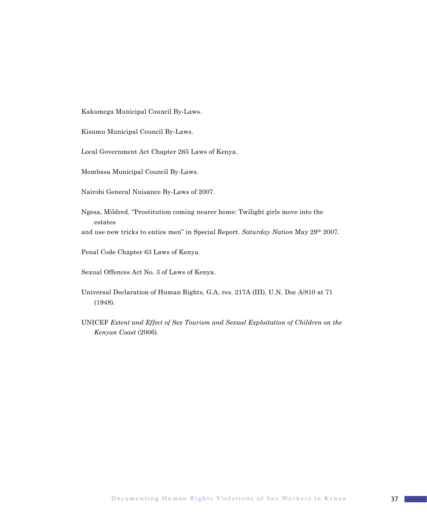Kakamega Municipal Council By-Laws.

Kisumu Municipal Council By-Laws.

Local Government Act Chapter 265 Laws of Kenya.

Mombasa Municipal Council By-Laws.

Nairobi General Nuisance By-Laws of 2007.

Ngesa, Mildred. "Prostitution coming nearer home: Twilight girls move into the estates

and use new tricks to entice men" in Special Report. *Saturday Nation* May 29th 2007.

Penal Code Chapter 63 Laws of Kenya.

Sexual Offences Act No. 3 of Laws of Kenya.

- Universal Declaration of Human Rights, G.A. res. 217A (III), U.N. Doc A/810 at 71 (1948).
- UNICEF *Extent and Effect of Sex Tourism and Sexual Exploitation of Children on the Kenyan Coast* (2006).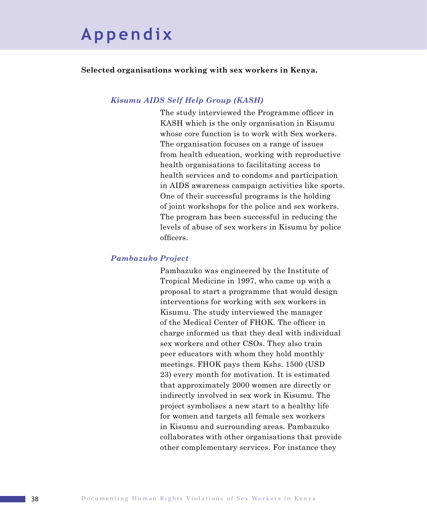# **A p p e n d i x**

### **Selected organisations working with sex workers in Kenya.**

### *Kisumu AIDS Self Help Group (KASH)*

The study interviewed the Programme officer in KASH which is the only organisation in Kisumu whose core function is to work with Sex workers. The organisation focuses on a range of issues from health education, working with reproductive health organisations to facilitating access to health services and to condoms and participation in AIDS awareness campaign activities like sports. One of their successful programs is the holding of joint workshops for the police and sex workers. The program has been successful in reducing the levels of abuse of sex workers in Kisumu by police officers.

#### *Pambazuko Project*

Pambazuko was engineered by the Institute of Tropical Medicine in 1997, who came up with a proposal to start a programme that would design interventions for working with sex workers in Kisumu. The study interviewed the manager of the Medical Center of FHOK. The officer in charge informed us that they deal with individual sex workers and other CSOs. They also train peer educators with whom they hold monthly meetings. FHOK pays them Kshs. 1500 (USD 23) every month for motivation. It is estimated that approximately 2000 women are directly or indirectly involved in sex work in Kisumu. The project symbolises a new start to a healthy life for women and targets all female sex workers in Kisumu and surrounding areas. Pambazuko collaborates with other organisations that provide other complementary services. For instance they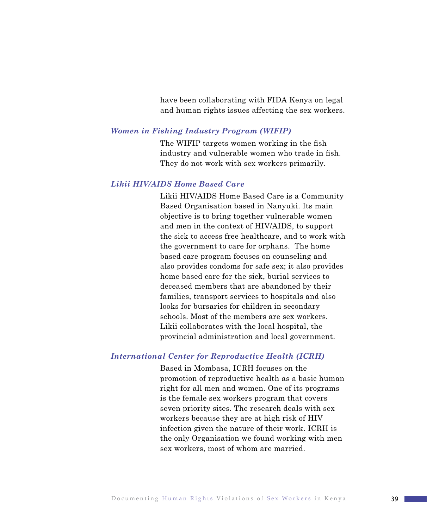have been collaborating with FIDA Kenya on legal and human rights issues affecting the sex workers.

#### *Women in Fishing Industry Program (WIFIP)*

The WIFIP targets women working in the fish industry and vulnerable women who trade in fish. They do not work with sex workers primarily.

### *Likii HIV/AIDS Home Based Care*

Likii HIV/AIDS Home Based Care is a Community Based Organisation based in Nanyuki. Its main objective is to bring together vulnerable women and men in the context of HIV/AIDS, to support the sick to access free healthcare, and to work with the government to care for orphans. The home based care program focuses on counseling and also provides condoms for safe sex; it also provides home based care for the sick, burial services to deceased members that are abandoned by their families, transport services to hospitals and also looks for bursaries for children in secondary schools. Most of the members are sex workers. Likii collaborates with the local hospital, the provincial administration and local government.

#### *International Center for Reproductive Health (ICRH)*

Based in Mombasa, ICRH focuses on the promotion of reproductive health as a basic human right for all men and women. One of its programs is the female sex workers program that covers seven priority sites. The research deals with sex workers because they are at high risk of HIV infection given the nature of their work. ICRH is the only Organisation we found working with men sex workers, most of whom are married.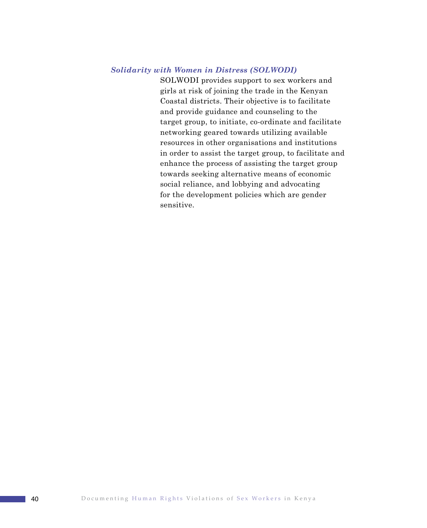### *Solidarity with Women in Distress (SOLWODI)*

SOLWODI provides support to sex workers and girls at risk of joining the trade in the Kenyan Coastal districts. Their objective is to facilitate and provide guidance and counseling to the target group, to initiate, co-ordinate and facilitate networking geared towards utilizing available resources in other organisations and institutions in order to assist the target group, to facilitate and enhance the process of assisting the target group towards seeking alternative means of economic social reliance, and lobbying and advocating for the development policies which are gender sensitive.